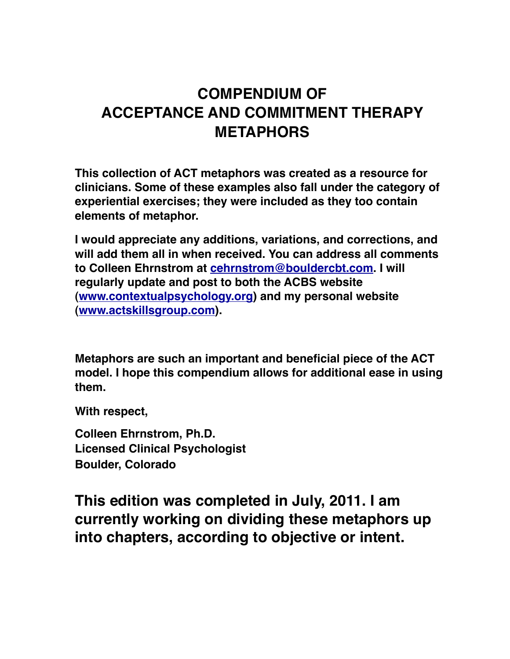# **COMPENDIUM OF ACCEPTANCE AND COMMITMENT THERAPY METAPHORS**

**This collection of ACT metaphors was created as a resource for clinicians. Some of these examples also fall under the category of experiential exercises; they were included as they too contain elements of metaphor.**

**I would appreciate any additions, variations, and corrections, and will add them all in when received. You can address all comments to Colleen Ehrnstrom at [cehrnstrom@bouldercbt.com](mailto:cehrnstrom@bouldercbt.com). I will regularly update and post to both the ACBS website ([www.contextualpsychology.org\)](http://www.contextualpsychology.org) and my personal website ([www.actskillsgroup.com](http://www.actskillsgroup.com)).**

**Metaphors are such an important and beneficial piece of the ACT model. I hope this compendium allows for additional ease in using them.**

**With respect,**

**Colleen Ehrnstrom, Ph.D. Licensed Clinical Psychologist Boulder, Colorado**

**This edition was completed in July, 2011. I am currently working on dividing these metaphors up into chapters, according to objective or intent.**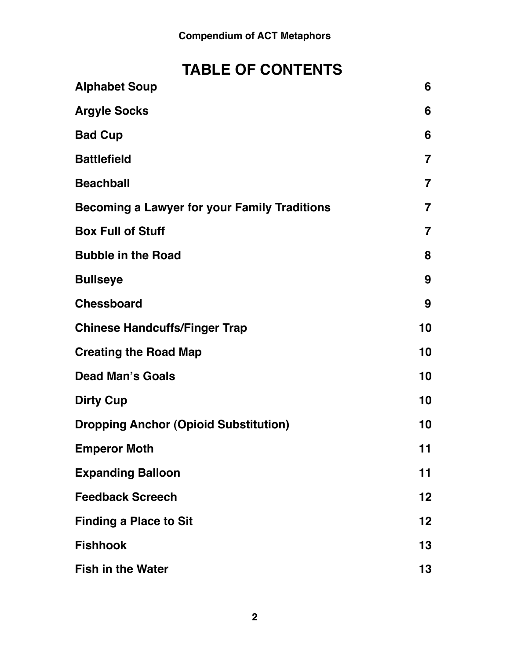|  |  |  | <b>TABLE OF CONTENTS</b> |
|--|--|--|--------------------------|
|--|--|--|--------------------------|

| <b>Alphabet Soup</b>                                | 6  |
|-----------------------------------------------------|----|
| <b>Argyle Socks</b>                                 | 6  |
| <b>Bad Cup</b>                                      | 6  |
| <b>Battlefield</b>                                  | 7  |
| <b>Beachball</b>                                    | 7  |
| <b>Becoming a Lawyer for your Family Traditions</b> | 7  |
| <b>Box Full of Stuff</b>                            | 7  |
| <b>Bubble in the Road</b>                           | 8  |
| <b>Bullseye</b>                                     | 9  |
| <b>Chessboard</b>                                   | 9  |
| <b>Chinese Handcuffs/Finger Trap</b>                | 10 |
| <b>Creating the Road Map</b>                        | 10 |
| <b>Dead Man's Goals</b>                             | 10 |
| <b>Dirty Cup</b>                                    | 10 |
| <b>Dropping Anchor (Opioid Substitution)</b>        | 10 |
| <b>Emperor Moth</b>                                 | 11 |
| <b>Expanding Balloon</b>                            | 11 |
| <b>Feedback Screech</b>                             | 12 |
| <b>Finding a Place to Sit</b>                       | 12 |
| <b>Fishhook</b>                                     | 13 |
| <b>Fish in the Water</b>                            | 13 |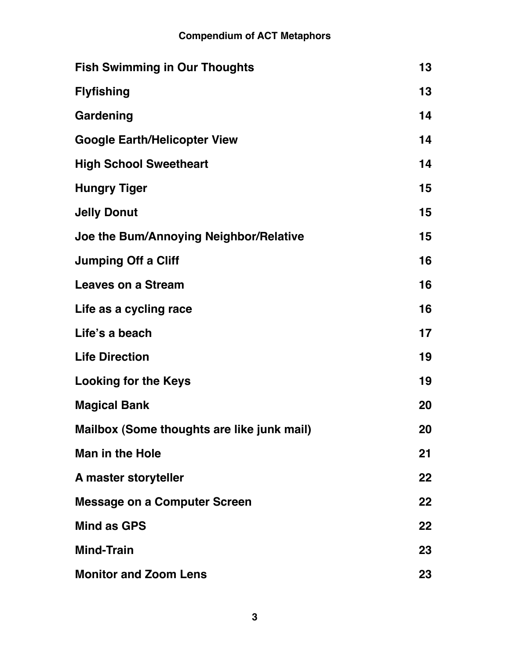| <b>Fish Swimming in Our Thoughts</b>       | 13 |
|--------------------------------------------|----|
| <b>Flyfishing</b>                          | 13 |
| Gardening                                  | 14 |
| <b>Google Earth/Helicopter View</b>        | 14 |
| <b>High School Sweetheart</b>              | 14 |
| <b>Hungry Tiger</b>                        | 15 |
| <b>Jelly Donut</b>                         | 15 |
| Joe the Bum/Annoying Neighbor/Relative     | 15 |
| <b>Jumping Off a Cliff</b>                 | 16 |
| <b>Leaves on a Stream</b>                  | 16 |
| Life as a cycling race                     | 16 |
| Life's a beach                             | 17 |
| <b>Life Direction</b>                      | 19 |
| <b>Looking for the Keys</b>                | 19 |
| <b>Magical Bank</b>                        | 20 |
| Mailbox (Some thoughts are like junk mail) | 20 |
| <b>Man in the Hole</b>                     | 21 |
| A master storyteller                       | 22 |
| <b>Message on a Computer Screen</b>        | 22 |
| <b>Mind as GPS</b>                         | 22 |
| <b>Mind-Train</b>                          | 23 |
| <b>Monitor and Zoom Lens</b>               | 23 |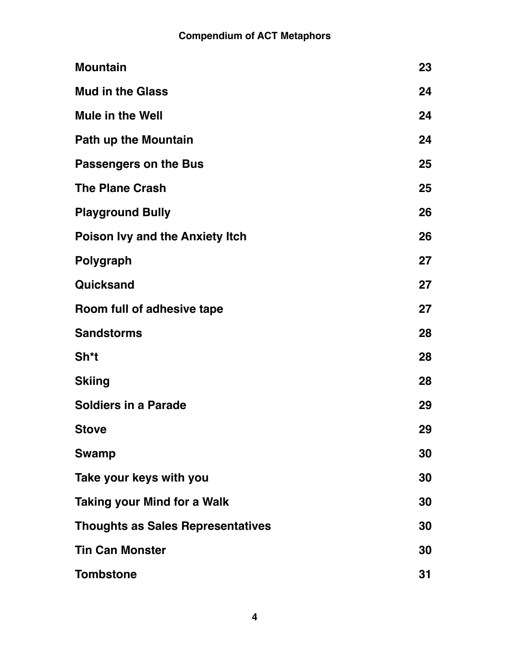| <b>Mountain</b>                          | 23 |
|------------------------------------------|----|
| <b>Mud in the Glass</b>                  | 24 |
| <b>Mule in the Well</b>                  | 24 |
| Path up the Mountain                     | 24 |
| <b>Passengers on the Bus</b>             | 25 |
| <b>The Plane Crash</b>                   | 25 |
| <b>Playground Bully</b>                  | 26 |
| <b>Poison Ivy and the Anxiety Itch</b>   | 26 |
| Polygraph                                | 27 |
| Quicksand                                | 27 |
| Room full of adhesive tape               | 27 |
| <b>Sandstorms</b>                        | 28 |
| Sh <sup>*</sup> t                        | 28 |
| <b>Skiing</b>                            | 28 |
| <b>Soldiers in a Parade</b>              | 29 |
| <b>Stove</b>                             | 29 |
| <b>Swamp</b>                             | 30 |
| Take your keys with you                  | 30 |
| <b>Taking your Mind for a Walk</b>       | 30 |
| <b>Thoughts as Sales Representatives</b> | 30 |
| <b>Tin Can Monster</b>                   | 30 |
| <b>Tombstone</b>                         | 31 |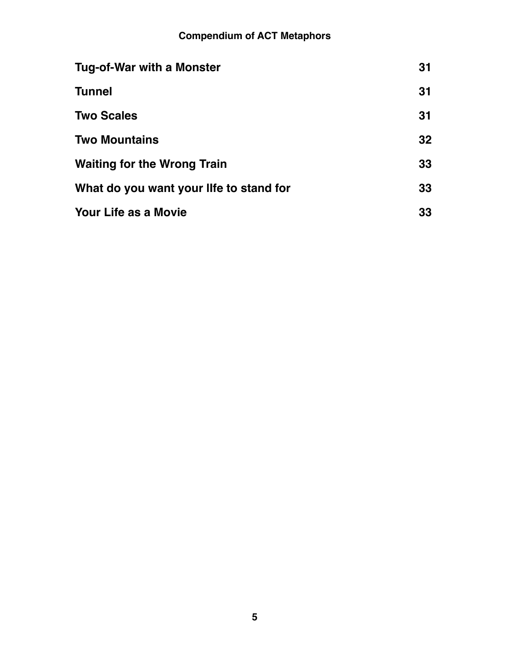| Tug-of-War with a Monster               | 31 |
|-----------------------------------------|----|
| <b>Tunnel</b>                           | 31 |
| <b>Two Scales</b>                       | 31 |
| <b>Two Mountains</b>                    | 32 |
| <b>Waiting for the Wrong Train</b>      | 33 |
| What do you want your life to stand for | 33 |
| Your Life as a Movie                    |    |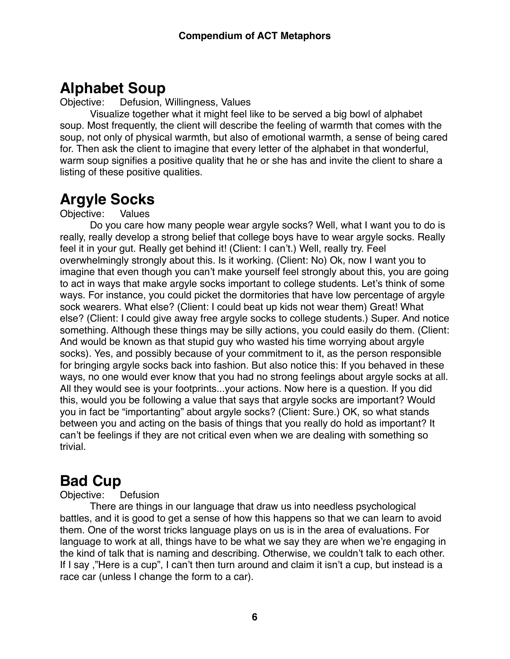# <span id="page-5-0"></span>**Alphabet Soup**

Objective: Defusion, Willingness, Values

Visualize together what it might feel like to be served a big bowl of alphabet soup. Most frequently, the client will describe the feeling of warmth that comes with the soup, not only of physical warmth, but also of emotional warmth, a sense of being cared for. Then ask the client to imagine that every letter of the alphabet in that wonderful, warm soup signifies a positive quality that he or she has and invite the client to share a listing of these positive qualities.

### <span id="page-5-1"></span>**Argyle Socks**

Objective: Values

Do you care how many people wear argyle socks? Well, what I want you to do is really, really develop a strong belief that college boys have to wear argyle socks. Really feel it in your gut. Really get behind it! (Client: I can't.) Well, really try. Feel overwhelmingly strongly about this. Is it working. (Client: No) Ok, now I want you to imagine that even though you can't make yourself feel strongly about this, you are going to act in ways that make argyle socks important to college students. Let's think of some ways. For instance, you could picket the dormitories that have low percentage of argyle sock wearers. What else? (Client: I could beat up kids not wear them) Great! What else? (Client: I could give away free argyle socks to college students.) Super. And notice something. Although these things may be silly actions, you could easily do them. (Client: And would be known as that stupid guy who wasted his time worrying about argyle socks). Yes, and possibly because of your commitment to it, as the person responsible for bringing argyle socks back into fashion. But also notice this: If you behaved in these ways, no one would ever know that you had no strong feelings about argyle socks at all. All they would see is your footprints...your actions. Now here is a question. If you did this, would you be following a value that says that argyle socks are important? Would you in fact be "importanting" about argyle socks? (Client: Sure.) OK, so what stands between you and acting on the basis of things that you really do hold as important? It can't be feelings if they are not critical even when we are dealing with something so trivial.

### <span id="page-5-2"></span>**Bad Cup**

Objective: Defusion

There are things in our language that draw us into needless psychological battles, and it is good to get a sense of how this happens so that we can learn to avoid them. One of the worst tricks language plays on us is in the area of evaluations. For language to work at all, things have to be what we say they are when we're engaging in the kind of talk that is naming and describing. Otherwise, we couldn't talk to each other. If I say ,"Here is a cup", I can't then turn around and claim it isn't a cup, but instead is a race car (unless I change the form to a car).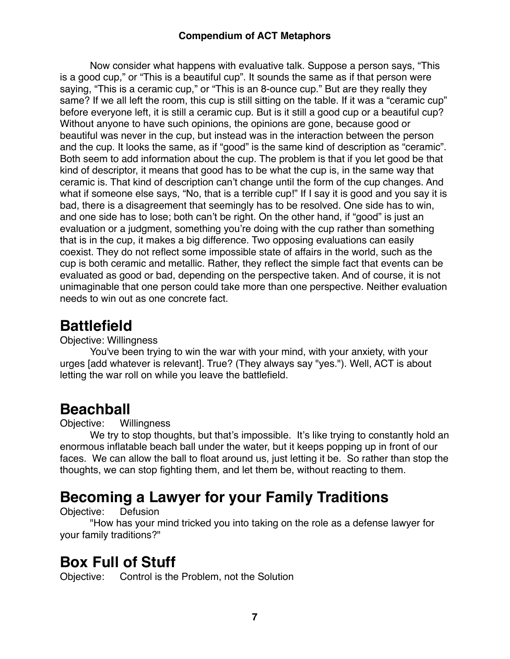Now consider what happens with evaluative talk. Suppose a person says, "This is a good cup," or "This is a beautiful cup". It sounds the same as if that person were saying, "This is a ceramic cup," or "This is an 8-ounce cup." But are they really they same? If we all left the room, this cup is still sitting on the table. If it was a "ceramic cup" before everyone left, it is still a ceramic cup. But is it still a good cup or a beautiful cup? Without anyone to have such opinions, the opinions are gone, because good or beautiful was never in the cup, but instead was in the interaction between the person and the cup. It looks the same, as if "good" is the same kind of description as "ceramic". Both seem to add information about the cup. The problem is that if you let good be that kind of descriptor, it means that good has to be what the cup is, in the same way that ceramic is. That kind of description can't change until the form of the cup changes. And what if someone else says, "No, that is a terrible cup!" If I say it is good and you say it is bad, there is a disagreement that seemingly has to be resolved. One side has to win, and one side has to lose; both can't be right. On the other hand, if "good" is just an evaluation or a judgment, something you're doing with the cup rather than something that is in the cup, it makes a big difference. Two opposing evaluations can easily coexist. They do not reflect some impossible state of affairs in the world, such as the cup is both ceramic and metallic. Rather, they reflect the simple fact that events can be evaluated as good or bad, depending on the perspective taken. And of course, it is not unimaginable that one person could take more than one perspective. Neither evaluation needs to win out as one concrete fact.

### <span id="page-6-0"></span>**Battlefield**

Objective: Willingness

You've been trying to win the war with your mind, with your anxiety, with your urges [add whatever is relevant]. True? (They always say "yes."). Well, ACT is about letting the war roll on while you leave the battlefield.

### <span id="page-6-1"></span>**Beachball**

Objective: Willingness

We try to stop thoughts, but that's impossible. It's like trying to constantly hold an enormous inflatable beach ball under the water, but it keeps popping up in front of our faces. We can allow the ball to float around us, just letting it be. So rather than stop the thoughts, we can stop fighting them, and let them be, without reacting to them.

### <span id="page-6-2"></span>**Becoming a Lawyer for your Family Traditions**

Objective: Defusion

"How has your mind tricked you into taking on the role as a defense lawyer for your family traditions?"

### <span id="page-6-3"></span>**Box Full of Stuff**

Objective: Control is the Problem, not the Solution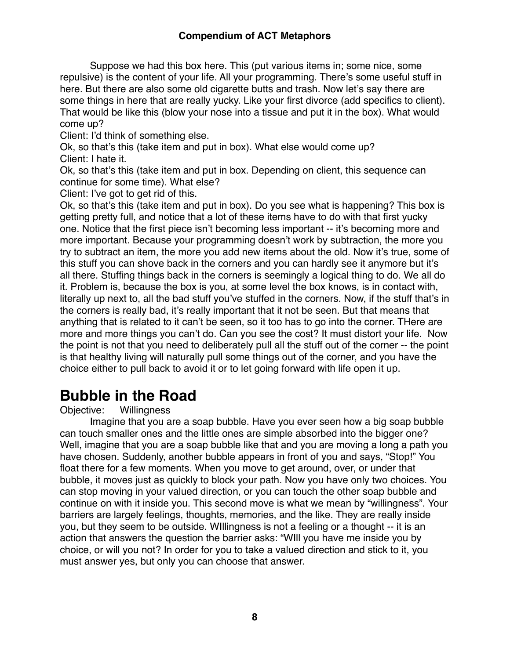Suppose we had this box here. This (put various items in; some nice, some repulsive) is the content of your life. All your programming. There's some useful stuff in here. But there are also some old cigarette butts and trash. Now let's say there are some things in here that are really yucky. Like your first divorce (add specifics to client). That would be like this (blow your nose into a tissue and put it in the box). What would come up?

Client: I'd think of something else.

Ok, so that's this (take item and put in box). What else would come up? Client: I hate it.

Ok, so that's this (take item and put in box. Depending on client, this sequence can continue for some time). What else?

Client: I've got to get rid of this.

Ok, so that's this (take item and put in box). Do you see what is happening? This box is getting pretty full, and notice that a lot of these items have to do with that first yucky one. Notice that the first piece isn't becoming less important -- it's becoming more and more important. Because your programming doesn't work by subtraction, the more you try to subtract an item, the more you add new items about the old. Now it's true, some of this stuff you can shove back in the corners and you can hardly see it anymore but it's all there. Stuffing things back in the corners is seemingly a logical thing to do. We all do it. Problem is, because the box is you, at some level the box knows, is in contact with, literally up next to, all the bad stuff you've stuffed in the corners. Now, if the stuff that's in the corners is really bad, it's really important that it not be seen. But that means that anything that is related to it can't be seen, so it too has to go into the corner. THere are more and more things you can't do. Can you see the cost? It must distort your life. Now the point is not that you need to deliberately pull all the stuff out of the corner -- the point is that healthy living will naturally pull some things out of the corner, and you have the choice either to pull back to avoid it or to let going forward with life open it up.

### <span id="page-7-0"></span>**Bubble in the Road**

Objective: Willingness

Imagine that you are a soap bubble. Have you ever seen how a big soap bubble can touch smaller ones and the little ones are simple absorbed into the bigger one? Well, imagine that you are a soap bubble like that and you are moving a long a path you have chosen. Suddenly, another bubble appears in front of you and says, "Stop!" You float there for a few moments. When you move to get around, over, or under that bubble, it moves just as quickly to block your path. Now you have only two choices. You can stop moving in your valued direction, or you can touch the other soap bubble and continue on with it inside you. This second move is what we mean by "willingness". Your barriers are largely feelings, thoughts, memories, and the like. They are really inside you, but they seem to be outside. WIllingness is not a feeling or a thought -- it is an action that answers the question the barrier asks: "WIll you have me inside you by choice, or will you not? In order for you to take a valued direction and stick to it, you must answer yes, but only you can choose that answer.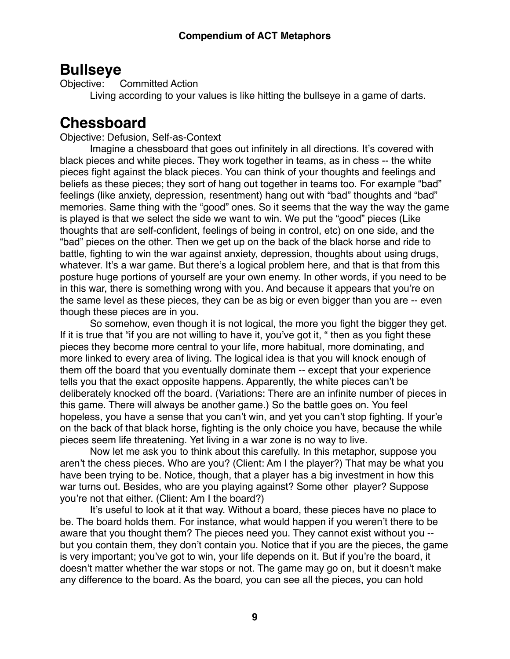### <span id="page-8-0"></span>**Bullseye**

Objective: Committed Action Living according to your values is like hitting the bullseye in a game of darts.

### <span id="page-8-1"></span>**Chessboard**

Objective: Defusion, Self-as-Context

Imagine a chessboard that goes out infinitely in all directions. It's covered with black pieces and white pieces. They work together in teams, as in chess -- the white pieces fight against the black pieces. You can think of your thoughts and feelings and beliefs as these pieces; they sort of hang out together in teams too. For example "bad" feelings (like anxiety, depression, resentment) hang out with "bad" thoughts and "bad" memories. Same thing with the "good" ones. So it seems that the way the way the game is played is that we select the side we want to win. We put the "good" pieces (Like thoughts that are self-confident, feelings of being in control, etc) on one side, and the "bad" pieces on the other. Then we get up on the back of the black horse and ride to battle, fighting to win the war against anxiety, depression, thoughts about using drugs, whatever. It's a war game. But there's a logical problem here, and that is that from this posture huge portions of yourself are your own enemy. In other words, if you need to be in this war, there is something wrong with you. And because it appears that you're on the same level as these pieces, they can be as big or even bigger than you are -- even though these pieces are in you.

So somehow, even though it is not logical, the more you fight the bigger they get. If it is true that "if you are not willing to have it, you've got it, " then as you fight these pieces they become more central to your life, more habitual, more dominating, and more linked to every area of living. The logical idea is that you will knock enough of them off the board that you eventually dominate them -- except that your experience tells you that the exact opposite happens. Apparently, the white pieces can't be deliberately knocked off the board. (Variations: There are an infinite number of pieces in this game. There will always be another game.) So the battle goes on. You feel hopeless, you have a sense that you can't win, and yet you can't stop fighting. If your'e on the back of that black horse, fighting is the only choice you have, because the while pieces seem life threatening. Yet living in a war zone is no way to live.

Now let me ask you to think about this carefully. In this metaphor, suppose you aren't the chess pieces. Who are you? (Client: Am I the player?) That may be what you have been trying to be. Notice, though, that a player has a big investment in how this war turns out. Besides, who are you playing against? Some other player? Suppose you're not that either. (Client: Am I the board?)

It's useful to look at it that way. Without a board, these pieces have no place to be. The board holds them. For instance, what would happen if you weren't there to be aware that you thought them? The pieces need you. They cannot exist without you - but you contain them, they don't contain you. Notice that if you are the pieces, the game is very important; you've got to win, your life depends on it. But if you're the board, it doesn't matter whether the war stops or not. The game may go on, but it doesn't make any difference to the board. As the board, you can see all the pieces, you can hold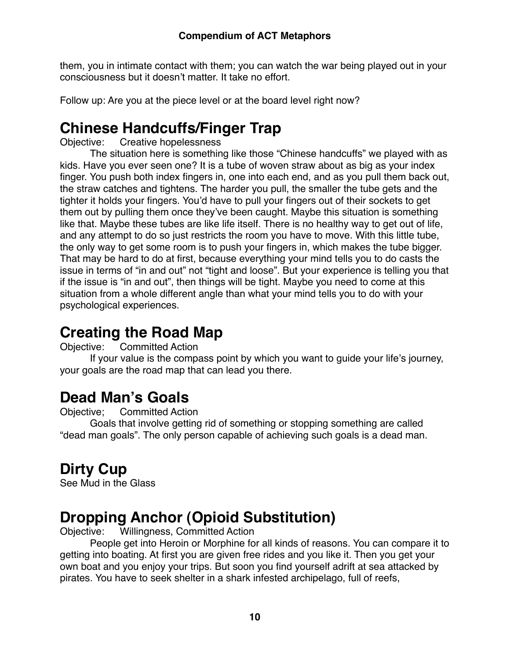them, you in intimate contact with them; you can watch the war being played out in your consciousness but it doesn't matter. It take no effort.

Follow up: Are you at the piece level or at the board level right now?

# <span id="page-9-0"></span>**Chinese Handcuffs/Finger Trap**

Objective: Creative hopelessness

The situation here is something like those "Chinese handcuffs" we played with as kids. Have you ever seen one? It is a tube of woven straw about as big as your index finger. You push both index fingers in, one into each end, and as you pull them back out, the straw catches and tightens. The harder you pull, the smaller the tube gets and the tighter it holds your fingers. You'd have to pull your fingers out of their sockets to get them out by pulling them once they've been caught. Maybe this situation is something like that. Maybe these tubes are like life itself. There is no healthy way to get out of life, and any attempt to do so just restricts the room you have to move. With this little tube, the only way to get some room is to push your fingers in, which makes the tube bigger. That may be hard to do at first, because everything your mind tells you to do casts the issue in terms of "in and out" not "tight and loose". But your experience is telling you that if the issue is "in and out", then things will be tight. Maybe you need to come at this situation from a whole different angle than what your mind tells you to do with your psychological experiences.

### <span id="page-9-1"></span>**Creating the Road Map**

Objective: Committed Action

If your value is the compass point by which you want to guide your life's journey, your goals are the road map that can lead you there.

### <span id="page-9-2"></span>**Dead Man's Goals**

Objective; Committed Action

Goals that involve getting rid of something or stopping something are called "dead man goals". The only person capable of achieving such goals is a dead man.

# <span id="page-9-3"></span>**Dirty Cup**

See Mud in the Glass

### <span id="page-9-4"></span>**Dropping Anchor (Opioid Substitution)**

Objective: Willingness, Committed Action

People get into Heroin or Morphine for all kinds of reasons. You can compare it to getting into boating. At first you are given free rides and you like it. Then you get your own boat and you enjoy your trips. But soon you find yourself adrift at sea attacked by pirates. You have to seek shelter in a shark infested archipelago, full of reefs,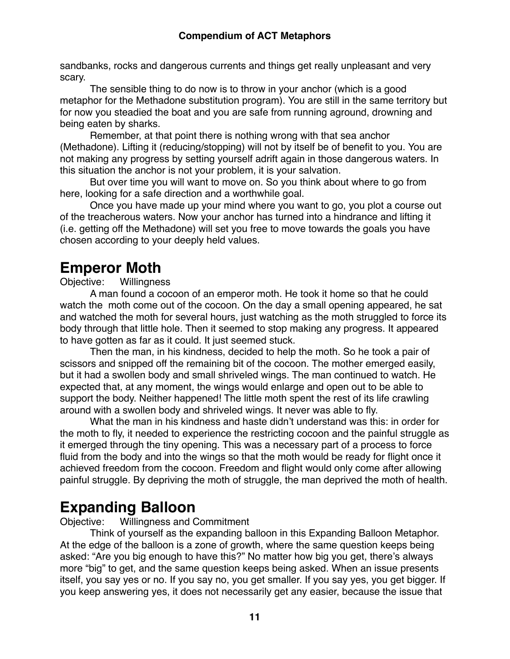sandbanks, rocks and dangerous currents and things get really unpleasant and very scary.

The sensible thing to do now is to throw in your anchor (which is a good metaphor for the Methadone substitution program). You are still in the same territory but for now you steadied the boat and you are safe from running aground, drowning and being eaten by sharks.

Remember, at that point there is nothing wrong with that sea anchor (Methadone). Lifting it (reducing/stopping) will not by itself be of benefit to you. You are not making any progress by setting yourself adrift again in those dangerous waters. In this situation the anchor is not your problem, it is your salvation.

But over time you will want to move on. So you think about where to go from here, looking for a safe direction and a worthwhile goal.

Once you have made up your mind where you want to go, you plot a course out of the treacherous waters. Now your anchor has turned into a hindrance and lifting it (i.e. getting off the Methadone) will set you free to move towards the goals you have chosen according to your deeply held values.

### <span id="page-10-0"></span>**Emperor Moth**

Objective: Willingness

A man found a cocoon of an emperor moth. He took it home so that he could watch the moth come out of the cocoon. On the day a small opening appeared, he sat and watched the moth for several hours, just watching as the moth struggled to force its body through that little hole. Then it seemed to stop making any progress. It appeared to have gotten as far as it could. It just seemed stuck.

Then the man, in his kindness, decided to help the moth. So he took a pair of scissors and snipped off the remaining bit of the cocoon. The mother emerged easily, but it had a swollen body and small shriveled wings. The man continued to watch. He expected that, at any moment, the wings would enlarge and open out to be able to support the body. Neither happened! The little moth spent the rest of its life crawling around with a swollen body and shriveled wings. It never was able to fly.

What the man in his kindness and haste didn't understand was this: in order for the moth to fly, it needed to experience the restricting cocoon and the painful struggle as it emerged through the tiny opening. This was a necessary part of a process to force fluid from the body and into the wings so that the moth would be ready for flight once it achieved freedom from the cocoon. Freedom and flight would only come after allowing painful struggle. By depriving the moth of struggle, the man deprived the moth of health.

### <span id="page-10-1"></span>**Expanding Balloon**

Objective: Willingness and Commitment

Think of yourself as the expanding balloon in this Expanding Balloon Metaphor. At the edge of the balloon is a zone of growth, where the same question keeps being asked: "Are you big enough to have this?" No matter how big you get, there's always more "big" to get, and the same question keeps being asked. When an issue presents itself, you say yes or no. If you say no, you get smaller. If you say yes, you get bigger. If you keep answering yes, it does not necessarily get any easier, because the issue that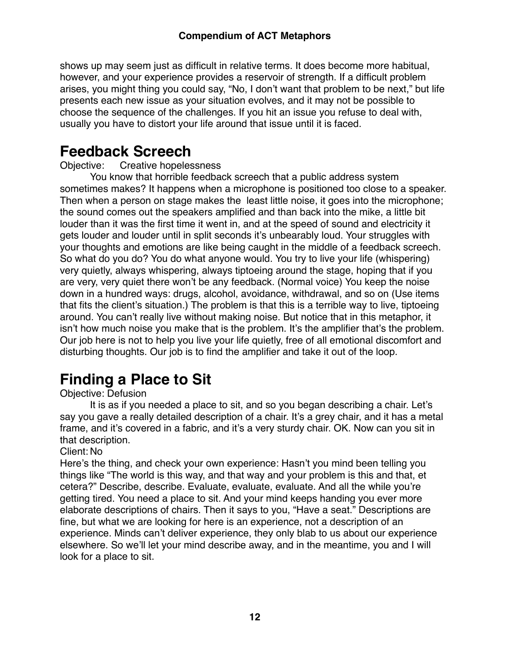shows up may seem just as difficult in relative terms. It does become more habitual, however, and your experience provides a reservoir of strength. If a difficult problem arises, you might thing you could say, "No, I don't want that problem to be next," but life presents each new issue as your situation evolves, and it may not be possible to choose the sequence of the challenges. If you hit an issue you refuse to deal with, usually you have to distort your life around that issue until it is faced.

### <span id="page-11-0"></span>**Feedback Screech**

#### Objective: Creative hopelessness

You know that horrible feedback screech that a public address system sometimes makes? It happens when a microphone is positioned too close to a speaker. Then when a person on stage makes the least little noise, it goes into the microphone; the sound comes out the speakers amplified and than back into the mike, a little bit louder than it was the first time it went in, and at the speed of sound and electricity it gets louder and louder until in split seconds it's unbearably loud. Your struggles with your thoughts and emotions are like being caught in the middle of a feedback screech. So what do you do? You do what anyone would. You try to live your life (whispering) very quietly, always whispering, always tiptoeing around the stage, hoping that if you are very, very quiet there won't be any feedback. (Normal voice) You keep the noise down in a hundred ways: drugs, alcohol, avoidance, withdrawal, and so on (Use items that fits the client's situation.) The problem is that this is a terrible way to live, tiptoeing around. You can't really live without making noise. But notice that in this metaphor, it isn't how much noise you make that is the problem. It's the amplifier that's the problem. Our job here is not to help you live your life quietly, free of all emotional discomfort and disturbing thoughts. Our job is to find the amplifier and take it out of the loop.

# <span id="page-11-1"></span>**Finding a Place to Sit**

#### Objective: Defusion

It is as if you needed a place to sit, and so you began describing a chair. Let's say you gave a really detailed description of a chair. It's a grey chair, and it has a metal frame, and it's covered in a fabric, and it's a very sturdy chair. OK. Now can you sit in that description.

#### Client: No

Here's the thing, and check your own experience: Hasn't you mind been telling you things like "The world is this way, and that way and your problem is this and that, et cetera?" Describe, describe. Evaluate, evaluate, evaluate. And all the while you're getting tired. You need a place to sit. And your mind keeps handing you ever more elaborate descriptions of chairs. Then it says to you, "Have a seat." Descriptions are fine, but what we are looking for here is an experience, not a description of an experience. Minds can't deliver experience, they only blab to us about our experience elsewhere. So we'll let your mind describe away, and in the meantime, you and I will look for a place to sit.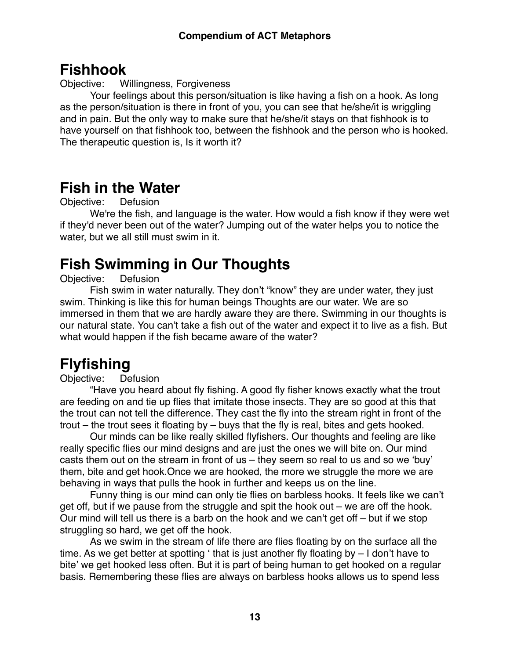### <span id="page-12-0"></span>**Fishhook**

Objective: Willingness, Forgiveness

Your feelings about this person/situation is like having a fish on a hook. As long as the person/situation is there in front of you, you can see that he/she/it is wriggling and in pain. But the only way to make sure that he/she/it stays on that fishhook is to have yourself on that fishhook too, between the fishhook and the person who is hooked. The therapeutic question is, Is it worth it?

### <span id="page-12-1"></span>**Fish in the Water**

Objective: Defusion

We're the fish, and language is the water. How would a fish know if they were wet if they'd never been out of the water? Jumping out of the water helps you to notice the water, but we all still must swim in it.

# <span id="page-12-2"></span>**Fish Swimming in Our Thoughts**

#### Objective: Defusion

Fish swim in water naturally. They don't "know" they are under water, they just swim. Thinking is like this for human beings Thoughts are our water. We are so immersed in them that we are hardly aware they are there. Swimming in our thoughts is our natural state. You can't take a fish out of the water and expect it to live as a fish. But what would happen if the fish became aware of the water?

# <span id="page-12-3"></span>**Flyfishing**

Objective: Defusion

"Have you heard about fly fishing. A good fly fisher knows exactly what the trout are feeding on and tie up flies that imitate those insects. They are so good at this that the trout can not tell the difference. They cast the fly into the stream right in front of the trout – the trout sees it floating by – buys that the fly is real, bites and gets hooked.

Our minds can be like really skilled flyfishers. Our thoughts and feeling are like really specific flies our mind designs and are just the ones we will bite on. Our mind casts them out on the stream in front of us – they seem so real to us and so we ʻbuy' them, bite and get hook.Once we are hooked, the more we struggle the more we are behaving in ways that pulls the hook in further and keeps us on the line.

Funny thing is our mind can only tie flies on barbless hooks. It feels like we can't get off, but if we pause from the struggle and spit the hook out – we are off the hook. Our mind will tell us there is a barb on the hook and we can't get off – but if we stop struggling so hard, we get off the hook.

As we swim in the stream of life there are flies floating by on the surface all the time. As we get better at spotting ʻ that is just another fly floating by – I don't have to bite' we get hooked less often. But it is part of being human to get hooked on a regular basis. Remembering these flies are always on barbless hooks allows us to spend less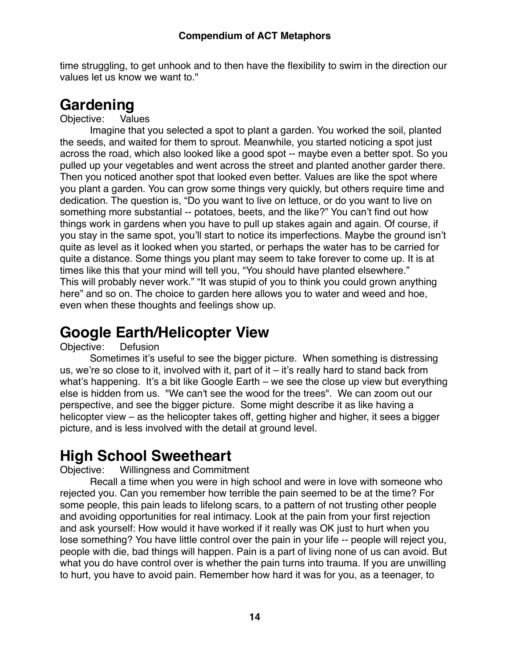time struggling, to get unhook and to then have the flexibility to swim in the direction our values let us know we want to."

# <span id="page-13-0"></span>**Gardening**

#### Objective: Values

Imagine that you selected a spot to plant a garden. You worked the soil, planted the seeds, and waited for them to sprout. Meanwhile, you started noticing a spot just across the road, which also looked like a good spot -- maybe even a better spot. So you pulled up your vegetables and went across the street and planted another garder there. Then you noticed another spot that looked even better. Values are like the spot where you plant a garden. You can grow some things very quickly, but others require time and dedication. The question is, "Do you want to live on lettuce, or do you want to live on something more substantial -- potatoes, beets, and the like?" You can't find out how things work in gardens when you have to pull up stakes again and again. Of course, if you stay in the same spot, you'll start to notice its imperfections. Maybe the ground isn't quite as level as it looked when you started, or perhaps the water has to be carried for quite a distance. Some things you plant may seem to take forever to come up. It is at times like this that your mind will tell you, "You should have planted elsewhere." This will probably never work." "It was stupid of you to think you could grown anything here" and so on. The choice to garden here allows you to water and weed and hoe, even when these thoughts and feelings show up.

### <span id="page-13-1"></span>**Google Earth/Helicopter View**

#### Objective: Defusion

Sometimes it's useful to see the bigger picture. When something is distressing us, we're so close to it, involved with it, part of it  $-$  it's really hard to stand back from what's happening. It's a bit like Google Earth – we see the close up view but everything else is hidden from us. "We can't see the wood for the trees". We can zoom out our perspective, and see the bigger picture. Some might describe it as like having a helicopter view – as the helicopter takes off, getting higher and higher, it sees a bigger picture, and is less involved with the detail at ground level.

### <span id="page-13-2"></span>**High School Sweetheart**

#### Objective: Willingness and Commitment

Recall a time when you were in high school and were in love with someone who rejected you. Can you remember how terrible the pain seemed to be at the time? For some people, this pain leads to lifelong scars, to a pattern of not trusting other people and avoiding opportunities for real intimacy. Look at the pain from your first rejection and ask yourself: How would it have worked if it really was OK just to hurt when you lose something? You have little control over the pain in your life -- people will reject you, people with die, bad things will happen. Pain is a part of living none of us can avoid. But what you do have control over is whether the pain turns into trauma. If you are unwilling to hurt, you have to avoid pain. Remember how hard it was for you, as a teenager, to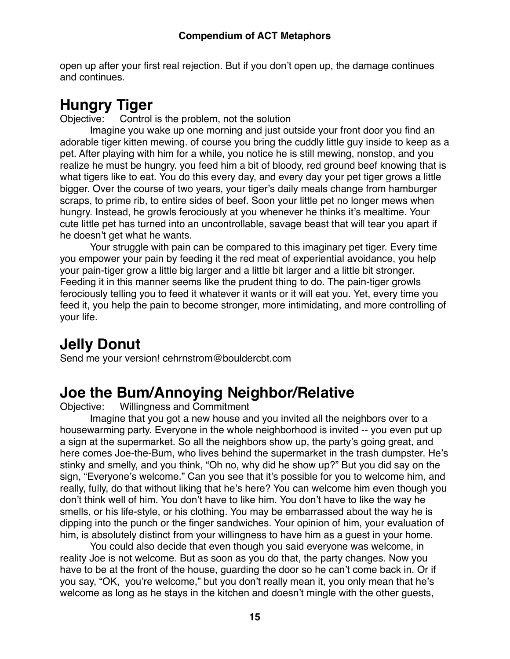open up after your first real rejection. But if you don't open up, the damage continues and continues.

# <span id="page-14-0"></span>**Hungry Tiger**<br>Objective: Control

Control is the problem, not the solution

Imagine you wake up one morning and just outside your front door you find an adorable tiger kitten mewing. of course you bring the cuddly little guy inside to keep as a pet. After playing with him for a while, you notice he is still mewing, nonstop, and you realize he must be hungry. you feed him a bit of bloody, red ground beef knowing that is what tigers like to eat. You do this every day, and every day your pet tiger grows a little bigger. Over the course of two years, your tiger's daily meals change from hamburger scraps, to prime rib, to entire sides of beef. Soon your little pet no longer mews when hungry. Instead, he growls ferociously at you whenever he thinks it's mealtime. Your cute little pet has turned into an uncontrollable, savage beast that will tear you apart if he doesn't get what he wants.

Your struggle with pain can be compared to this imaginary pet tiger. Every time you empower your pain by feeding it the red meat of experiential avoidance, you help your pain-tiger grow a little big larger and a little bit larger and a little bit stronger. Feeding it in this manner seems like the prudent thing to do. The pain-tiger growls ferociously telling you to feed it whatever it wants or it will eat you. Yet, every time you feed it, you help the pain to become stronger, more intimidating, and more controlling of your life.

# <span id="page-14-1"></span>**Jelly Donut**

Send me your version! cehrnstrom@bouldercbt.com

### <span id="page-14-2"></span>**Joe the Bum/Annoying Neighbor/Relative**

Objective: Willingness and Commitment

Imagine that you got a new house and you invited all the neighbors over to a housewarming party. Everyone in the whole neighborhood is invited -- you even put up a sign at the supermarket. So all the neighbors show up, the party's going great, and here comes Joe-the-Bum, who lives behind the supermarket in the trash dumpster. He's stinky and smelly, and you think, "Oh no, why did he show up?" But you did say on the sign, "Everyone's welcome." Can you see that it's possible for you to welcome him, and really, fully, do that without liking that he's here? You can welcome him even though you don't think well of him. You don't have to like him. You don't have to like the way he smells, or his life-style, or his clothing. You may be embarrassed about the way he is dipping into the punch or the finger sandwiches. Your opinion of him, your evaluation of him, is absolutely distinct from your willingness to have him as a guest in your home.

You could also decide that even though you said everyone was welcome, in reality Joe is not welcome. But as soon as you do that, the party changes. Now you have to be at the front of the house, guarding the door so he can't come back in. Or if you say, "OK, you're welcome," but you don't really mean it, you only mean that he's welcome as long as he stays in the kitchen and doesn't mingle with the other guests,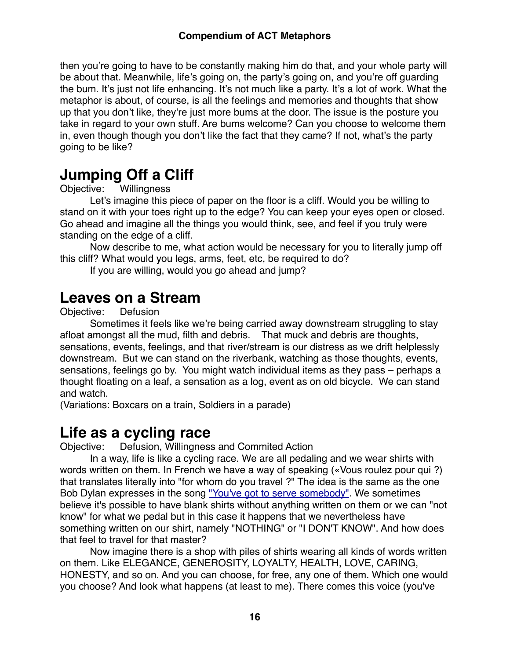then you're going to have to be constantly making him do that, and your whole party will be about that. Meanwhile, life's going on, the party's going on, and you're off guarding the bum. It's just not life enhancing. It's not much like a party. It's a lot of work. What the metaphor is about, of course, is all the feelings and memories and thoughts that show up that you don't like, they're just more bums at the door. The issue is the posture you take in regard to your own stuff. Are bums welcome? Can you choose to welcome them in, even though though you don't like the fact that they came? If not, what's the party going to be like?

### <span id="page-15-0"></span>**Jumping Off a Cliff**

#### Objective: Willingness

Let's imagine this piece of paper on the floor is a cliff. Would you be willing to stand on it with your toes right up to the edge? You can keep your eyes open or closed. Go ahead and imagine all the things you would think, see, and feel if you truly were standing on the edge of a cliff.

Now describe to me, what action would be necessary for you to literally jump off this cliff? What would you legs, arms, feet, etc, be required to do?

If you are willing, would you go ahead and jump?

### <span id="page-15-1"></span>**Leaves on a Stream**

Objective: Defusion

Sometimes it feels like we're being carried away downstream struggling to stay afloat amongst all the mud, filth and debris. That muck and debris are thoughts, sensations, events, feelings, and that river/stream is our distress as we drift helplessly downstream. But we can stand on the riverbank, watching as those thoughts, events, sensations, feelings go by. You might watch individual items as they pass – perhaps a thought floating on a leaf, a sensation as a log, event as on old bicycle. We can stand and watch.

(Variations: Boxcars on a train, Soldiers in a parade)

### <span id="page-15-2"></span>**Life as a cycling race**

Objective: Defusion, Willingness and Commited Action

In a way, life is like a cycling race. We are all pedaling and we wear shirts with words written on them. In French we have a way of speaking («Vous roulez pour qui ?) that translates literally into "for whom do you travel ?" The idea is the same as the one Bob Dylan expresses in the song ["You've got to serve somebody"](http://www.bobdylan.com/songs/serve.html). We sometimes believe it's possible to have blank shirts without anything written on them or we can "not know" for what we pedal but in this case it happens that we nevertheless have something written on our shirt, namely "NOTHING" or "I DON'T KNOW". And how does that feel to travel for that master?

Now imagine there is a shop with piles of shirts wearing all kinds of words written on them. Like ELEGANCE, GENEROSITY, LOYALTY, HEALTH, LOVE, CARING, HONESTY, and so on. And you can choose, for free, any one of them. Which one would you choose? And look what happens (at least to me). There comes this voice (you've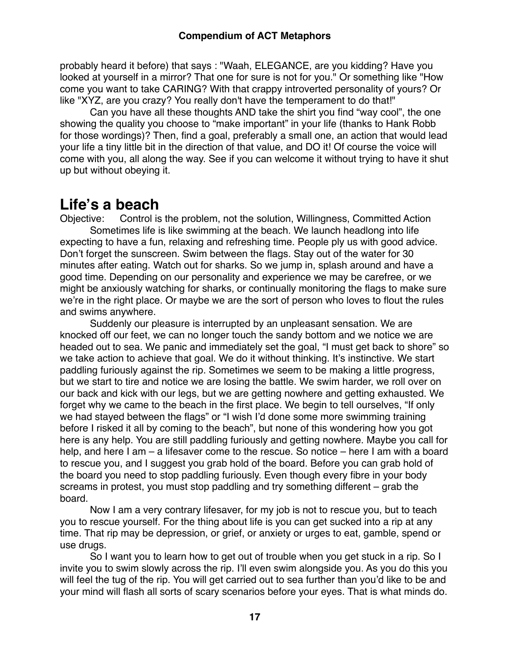probably heard it before) that says : "Waah, ELEGANCE, are you kidding? Have you looked at yourself in a mirror? That one for sure is not for you." Or something like "How come you want to take CARING? With that crappy introverted personality of yours? Or like "XYZ, are you crazy? You really don't have the temperament to do that!"

Can you have all these thoughts AND take the shirt you find "way cool", the one showing the quality you choose to "make important" in your life (thanks to Hank Robb for those wordings)? Then, find a goal, preferably a small one, an action that would lead your life a tiny little bit in the direction of that value, and DO it! Of course the voice will come with you, all along the way. See if you can welcome it without trying to have it shut up but without obeying it.

### <span id="page-16-0"></span>**Life's a beach**

Objective: Control is the problem, not the solution, Willingness, Committed Action

Sometimes life is like swimming at the beach. We launch headlong into life expecting to have a fun, relaxing and refreshing time. People ply us with good advice. Don't forget the sunscreen. Swim between the flags. Stay out of the water for 30 minutes after eating. Watch out for sharks. So we jump in, splash around and have a good time. Depending on our personality and experience we may be carefree, or we might be anxiously watching for sharks, or continually monitoring the flags to make sure we're in the right place. Or maybe we are the sort of person who loves to flout the rules and swims anywhere.

Suddenly our pleasure is interrupted by an unpleasant sensation. We are knocked off our feet, we can no longer touch the sandy bottom and we notice we are headed out to sea. We panic and immediately set the goal, "I must get back to shore" so we take action to achieve that goal. We do it without thinking. It's instinctive. We start paddling furiously against the rip. Sometimes we seem to be making a little progress, but we start to tire and notice we are losing the battle. We swim harder, we roll over on our back and kick with our legs, but we are getting nowhere and getting exhausted. We forget why we came to the beach in the first place. We begin to tell ourselves, "If only we had stayed between the flags" or "I wish I'd done some more swimming training before I risked it all by coming to the beach", but none of this wondering how you got here is any help. You are still paddling furiously and getting nowhere. Maybe you call for help, and here I am – a lifesaver come to the rescue. So notice – here I am with a board to rescue you, and I suggest you grab hold of the board. Before you can grab hold of the board you need to stop paddling furiously. Even though every fibre in your body screams in protest, you must stop paddling and try something different – grab the board.

Now I am a very contrary lifesaver, for my job is not to rescue you, but to teach you to rescue yourself. For the thing about life is you can get sucked into a rip at any time. That rip may be depression, or grief, or anxiety or urges to eat, gamble, spend or use drugs.

So I want you to learn how to get out of trouble when you get stuck in a rip. So I invite you to swim slowly across the rip. I'll even swim alongside you. As you do this you will feel the tug of the rip. You will get carried out to sea further than you'd like to be and your mind will flash all sorts of scary scenarios before your eyes. That is what minds do.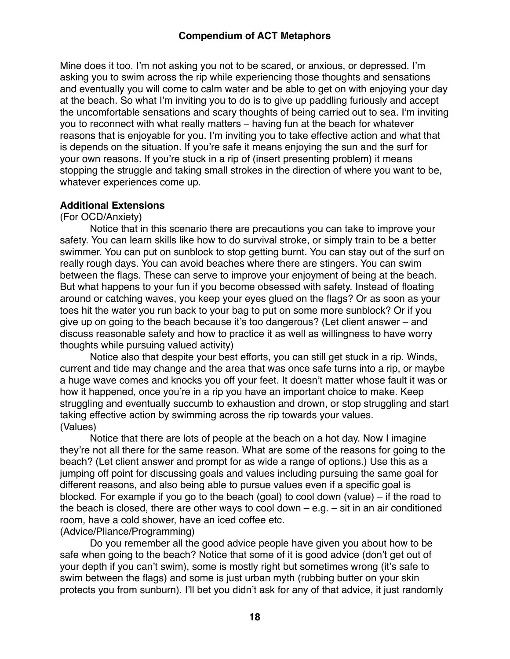Mine does it too. I'm not asking you not to be scared, or anxious, or depressed. I'm asking you to swim across the rip while experiencing those thoughts and sensations and eventually you will come to calm water and be able to get on with enjoying your day at the beach. So what I'm inviting you to do is to give up paddling furiously and accept the uncomfortable sensations and scary thoughts of being carried out to sea. I'm inviting you to reconnect with what really matters – having fun at the beach for whatever reasons that is enjoyable for you. I'm inviting you to take effective action and what that is depends on the situation. If you're safe it means enjoying the sun and the surf for your own reasons. If you're stuck in a rip of (insert presenting problem) it means stopping the struggle and taking small strokes in the direction of where you want to be, whatever experiences come up.

#### **Additional Extensions**

#### (For OCD/Anxiety)

Notice that in this scenario there are precautions you can take to improve your safety. You can learn skills like how to do survival stroke, or simply train to be a better swimmer. You can put on sunblock to stop getting burnt. You can stay out of the surf on really rough days. You can avoid beaches where there are stingers. You can swim between the flags. These can serve to improve your enjoyment of being at the beach. But what happens to your fun if you become obsessed with safety. Instead of floating around or catching waves, you keep your eyes glued on the flags? Or as soon as your toes hit the water you run back to your bag to put on some more sunblock? Or if you give up on going to the beach because it's too dangerous? (Let client answer – and discuss reasonable safety and how to practice it as well as willingness to have worry thoughts while pursuing valued activity)

Notice also that despite your best efforts, you can still get stuck in a rip. Winds, current and tide may change and the area that was once safe turns into a rip, or maybe a huge wave comes and knocks you off your feet. It doesn't matter whose fault it was or how it happened, once you're in a rip you have an important choice to make. Keep struggling and eventually succumb to exhaustion and drown, or stop struggling and start taking effective action by swimming across the rip towards your values. (Values)

Notice that there are lots of people at the beach on a hot day. Now I imagine they're not all there for the same reason. What are some of the reasons for going to the beach? (Let client answer and prompt for as wide a range of options.) Use this as a jumping off point for discussing goals and values including pursuing the same goal for different reasons, and also being able to pursue values even if a specific goal is blocked. For example if you go to the beach (goal) to cool down (value) – if the road to the beach is closed, there are other ways to cool down  $- e.g. - sit$  in an air conditioned room, have a cold shower, have an iced coffee etc. (Advice/Pliance/Programming)

Do you remember all the good advice people have given you about how to be safe when going to the beach? Notice that some of it is good advice (don't get out of your depth if you can't swim), some is mostly right but sometimes wrong (it's safe to swim between the flags) and some is just urban myth (rubbing butter on your skin protects you from sunburn). I'll bet you didn't ask for any of that advice, it just randomly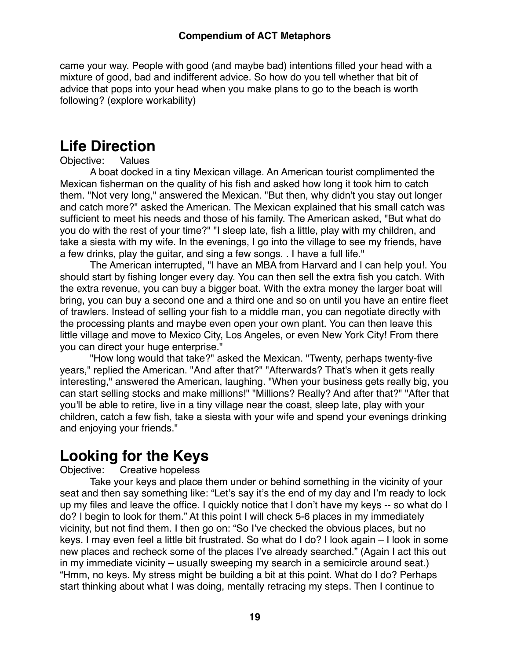came your way. People with good (and maybe bad) intentions filled your head with a mixture of good, bad and indifferent advice. So how do you tell whether that bit of advice that pops into your head when you make plans to go to the beach is worth following? (explore workability)

### <span id="page-18-0"></span>**Life Direction**

Objective: Values

A boat docked in a tiny Mexican village. An American tourist complimented the Mexican fisherman on the quality of his fish and asked how long it took him to catch them. "Not very long," answered the Mexican. "But then, why didn't you stay out longer and catch more?" asked the American. The Mexican explained that his small catch was sufficient to meet his needs and those of his family. The American asked, "But what do you do with the rest of your time?" "I sleep late, fish a little, play with my children, and take a siesta with my wife. In the evenings, I go into the village to see my friends, have a few drinks, play the guitar, and sing a few songs. . I have a full life."

The American interrupted, "I have an MBA from Harvard and I can help you!. You should start by fishing longer every day. You can then sell the extra fish you catch. With the extra revenue, you can buy a bigger boat. With the extra money the larger boat will bring, you can buy a second one and a third one and so on until you have an entire fleet of trawlers. Instead of selling your fish to a middle man, you can negotiate directly with the processing plants and maybe even open your own plant. You can then leave this little village and move to Mexico City, Los Angeles, or even New York City! From there you can direct your huge enterprise."

"How long would that take?" asked the Mexican. "Twenty, perhaps twenty-five years," replied the American. "And after that?" "Afterwards? That's when it gets really interesting," answered the American, laughing. "When your business gets really big, you can start selling stocks and make millions!" "Millions? Really? And after that?" "After that you'll be able to retire, live in a tiny village near the coast, sleep late, play with your children, catch a few fish, take a siesta with your wife and spend your evenings drinking and enjoying your friends."

### <span id="page-18-1"></span>**Looking for the Keys**

Objective: Creative hopeless

Take your keys and place them under or behind something in the vicinity of your seat and then say something like: "Let's say it's the end of my day and I'm ready to lock up my files and leave the office. I quickly notice that I don't have my keys -- so what do I do? I begin to look for them." At this point I will check 5-6 places in my immediately vicinity, but not find them. I then go on: "So I've checked the obvious places, but no keys. I may even feel a little bit frustrated. So what do I do? I look again – I look in some new places and recheck some of the places I've already searched." (Again I act this out in my immediate vicinity – usually sweeping my search in a semicircle around seat.) "Hmm, no keys. My stress might be building a bit at this point. What do I do? Perhaps start thinking about what I was doing, mentally retracing my steps. Then I continue to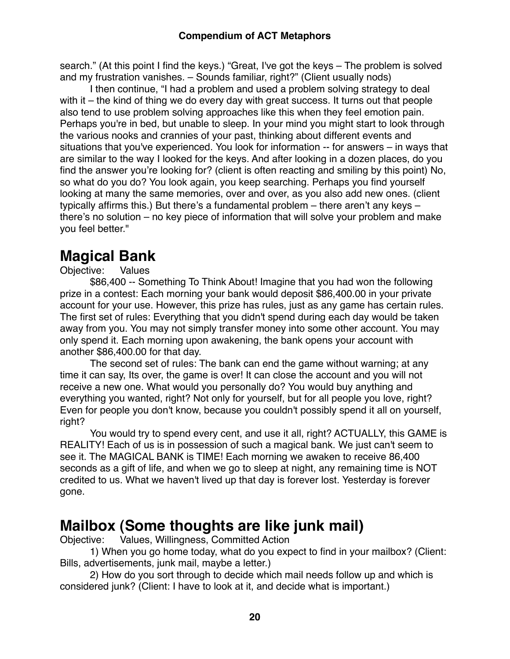search." (At this point I find the keys.) "Great, I've got the keys – The problem is solved and my frustration vanishes. – Sounds familiar, right?" (Client usually nods)

I then continue, "I had a problem and used a problem solving strategy to deal with it – the kind of thing we do every day with great success. It turns out that people also tend to use problem solving approaches like this when they feel emotion pain. Perhaps you're in bed, but unable to sleep. In your mind you might start to look through the various nooks and crannies of your past, thinking about different events and situations that you've experienced. You look for information -- for answers – in ways that are similar to the way I looked for the keys. And after looking in a dozen places, do you find the answer you're looking for? (client is often reacting and smiling by this point) No, so what do you do? You look again, you keep searching. Perhaps you find yourself looking at many the same memories, over and over, as you also add new ones. (client typically affirms this.) But there's a fundamental problem – there aren't any keys – there's no solution – no key piece of information that will solve your problem and make you feel better."

### <span id="page-19-0"></span>**Magical Bank**

Objective: Values

\$86,400 -- Something To Think About! Imagine that you had won the following prize in a contest: Each morning your bank would deposit \$86,400.00 in your private account for your use. However, this prize has rules, just as any game has certain rules. The first set of rules: Everything that you didn't spend during each day would be taken away from you. You may not simply transfer money into some other account. You may only spend it. Each morning upon awakening, the bank opens your account with another \$86,400.00 for that day.

The second set of rules: The bank can end the game without warning; at any time it can say, Its over, the game is over! It can close the account and you will not receive a new one. What would you personally do? You would buy anything and everything you wanted, right? Not only for yourself, but for all people you love, right? Even for people you don't know, because you couldn't possibly spend it all on yourself, right?

You would try to spend every cent, and use it all, right? ACTUALLY, this GAME is REALITY! Each of us is in possession of such a magical bank. We just can't seem to see it. The MAGICAL BANK is TIME! Each morning we awaken to receive 86,400 seconds as a gift of life, and when we go to sleep at night, any remaining time is NOT credited to us. What we haven't lived up that day is forever lost. Yesterday is forever gone.

### <span id="page-19-1"></span>**Mailbox (Some thoughts are like junk mail)**

Objective: Values, Willingness, Committed Action

1) When you go home today, what do you expect to find in your mailbox? (Client: Bills, advertisements, junk mail, maybe a letter.)

2) How do you sort through to decide which mail needs follow up and which is considered junk? (Client: I have to look at it, and decide what is important.)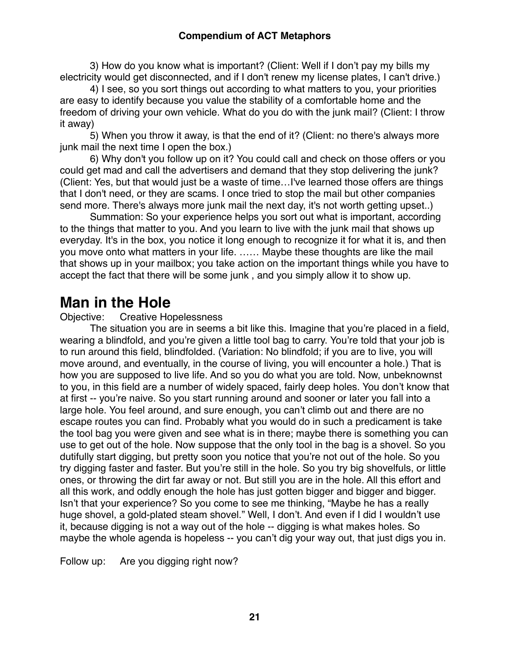3) How do you know what is important? (Client: Well if I don't pay my bills my electricity would get disconnected, and if I don't renew my license plates, I can't drive.)

4) I see, so you sort things out according to what matters to you, your priorities are easy to identify because you value the stability of a comfortable home and the freedom of driving your own vehicle. What do you do with the junk mail? (Client: I throw it away)

5) When you throw it away, is that the end of it? (Client: no there's always more junk mail the next time I open the box.)

6) Why don't you follow up on it? You could call and check on those offers or you could get mad and call the advertisers and demand that they stop delivering the junk? (Client: Yes, but that would just be a waste of time…I've learned those offers are things that I don't need, or they are scams. I once tried to stop the mail but other companies send more. There's always more junk mail the next day, it's not worth getting upset..)

Summation: So your experience helps you sort out what is important, according to the things that matter to you. And you learn to live with the junk mail that shows up everyday. It's in the box, you notice it long enough to recognize it for what it is, and then you move onto what matters in your life. …… Maybe these thoughts are like the mail that shows up in your mailbox; you take action on the important things while you have to accept the fact that there will be some junk , and you simply allow it to show up.

### <span id="page-20-0"></span>**Man in the Hole**

#### Objective: Creative Hopelessness

The situation you are in seems a bit like this. Imagine that you're placed in a field, wearing a blindfold, and you're given a little tool bag to carry. You're told that your job is to run around this field, blindfolded. (Variation: No blindfold; if you are to live, you will move around, and eventually, in the course of living, you will encounter a hole.) That is how you are supposed to live life. And so you do what you are told. Now, unbeknownst to you, in this field are a number of widely spaced, fairly deep holes. You don't know that at first -- you're naive. So you start running around and sooner or later you fall into a large hole. You feel around, and sure enough, you can't climb out and there are no escape routes you can find. Probably what you would do in such a predicament is take the tool bag you were given and see what is in there; maybe there is something you can use to get out of the hole. Now suppose that the only tool in the bag is a shovel. So you dutifully start digging, but pretty soon you notice that you're not out of the hole. So you try digging faster and faster. But you're still in the hole. So you try big shovelfuls, or little ones, or throwing the dirt far away or not. But still you are in the hole. All this effort and all this work, and oddly enough the hole has just gotten bigger and bigger and bigger. Isn't that your experience? So you come to see me thinking, "Maybe he has a really huge shovel, a gold-plated steam shovel." Well, I don't. And even if I did I wouldn't use it, because digging is not a way out of the hole -- digging is what makes holes. So maybe the whole agenda is hopeless -- you can't dig your way out, that just digs you in.

Follow up: Are you digging right now?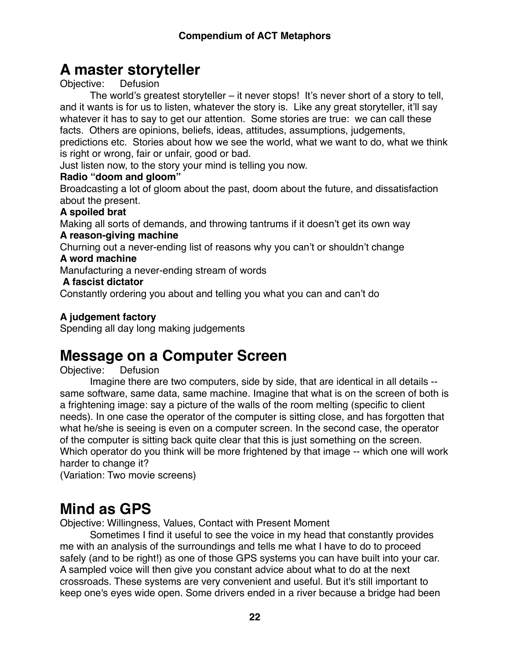### <span id="page-21-0"></span>**A master storyteller**

#### Objective: Defusion

The world's greatest storyteller – it never stops! It's never short of a story to tell, and it wants is for us to listen, whatever the story is. Like any great storyteller, it'll say whatever it has to say to get our attention. Some stories are true: we can call these facts. Others are opinions, beliefs, ideas, attitudes, assumptions, judgements, predictions etc. Stories about how we see the world, what we want to do, what we think is right or wrong, fair or unfair, good or bad.

Just listen now, to the story your mind is telling you now.

#### **Radio "doom and gloom"**

Broadcasting a lot of gloom about the past, doom about the future, and dissatisfaction about the present.

#### **A spoiled brat**

Making all sorts of demands, and throwing tantrums if it doesn't get its own way **A reason-giving machine**

Churning out a never-ending list of reasons why you can't or shouldn't change

#### **A word machine**

Manufacturing a never-ending stream of words

#### **A fascist dictator**

Constantly ordering you about and telling you what you can and can't do

#### **A judgement factory**

Spending all day long making judgements

### <span id="page-21-1"></span>**Message on a Computer Screen**

#### Objective: Defusion

Imagine there are two computers, side by side, that are identical in all details - same software, same data, same machine. Imagine that what is on the screen of both is a frightening image: say a picture of the walls of the room melting (specific to client needs). In one case the operator of the computer is sitting close, and has forgotten that what he/she is seeing is even on a computer screen. In the second case, the operator of the computer is sitting back quite clear that this is just something on the screen. Which operator do you think will be more frightened by that image -- which one will work harder to change it?

(Variation: Two movie screens)

### <span id="page-21-2"></span>**Mind as GPS**

Objective: Willingness, Values, Contact with Present Moment

Sometimes I find it useful to see the voice in my head that constantly provides me with an analysis of the surroundings and tells me what I have to do to proceed safely (and to be right!) as one of those GPS systems you can have built into your car. A sampled voice will then give you constant advice about what to do at the next crossroads. These systems are very convenient and useful. But it's still important to keep one's eyes wide open. Some drivers ended in a river because a bridge had been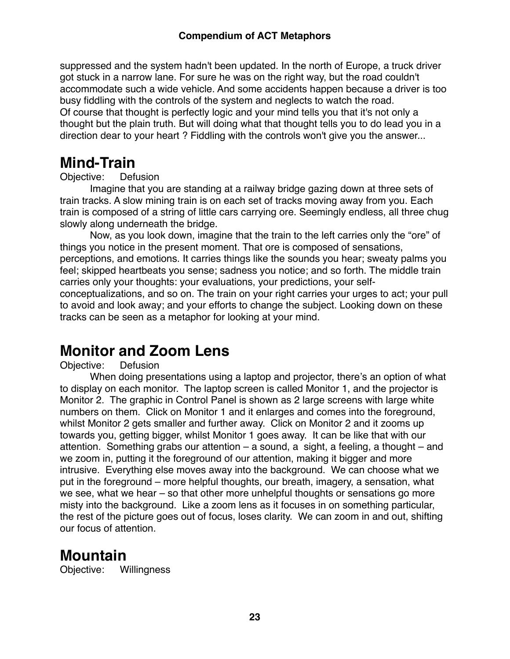suppressed and the system hadn't been updated. In the north of Europe, a truck driver got stuck in a narrow lane. For sure he was on the right way, but the road couldn't accommodate such a wide vehicle. And some accidents happen because a driver is too busy fiddling with the controls of the system and neglects to watch the road. Of course that thought is perfectly logic and your mind tells you that it's not only a thought but the plain truth. But will doing what that thought tells you to do lead you in a direction dear to your heart ? Fiddling with the controls won't give you the answer...

### <span id="page-22-0"></span>**Mind-Train**

Objective: Defusion

Imagine that you are standing at a railway bridge gazing down at three sets of train tracks. A slow mining train is on each set of tracks moving away from you. Each train is composed of a string of little cars carrying ore. Seemingly endless, all three chug slowly along underneath the bridge.

Now, as you look down, imagine that the train to the left carries only the "ore" of things you notice in the present moment. That ore is composed of sensations, perceptions, and emotions. It carries things like the sounds you hear; sweaty palms you feel; skipped heartbeats you sense; sadness you notice; and so forth. The middle train carries only your thoughts: your evaluations, your predictions, your selfconceptualizations, and so on. The train on your right carries your urges to act; your pull to avoid and look away; and your efforts to change the subject. Looking down on these tracks can be seen as a metaphor for looking at your mind.

### <span id="page-22-1"></span>**Monitor and Zoom Lens**

#### Objective: Defusion

When doing presentations using a laptop and projector, there's an option of what to display on each monitor. The laptop screen is called Monitor 1, and the projector is Monitor 2. The graphic in Control Panel is shown as 2 large screens with large white numbers on them. Click on Monitor 1 and it enlarges and comes into the foreground, whilst Monitor 2 gets smaller and further away. Click on Monitor 2 and it zooms up towards you, getting bigger, whilst Monitor 1 goes away. It can be like that with our attention. Something grabs our attention – a sound, a sight, a feeling, a thought – and we zoom in, putting it the foreground of our attention, making it bigger and more intrusive. Everything else moves away into the background. We can choose what we put in the foreground – more helpful thoughts, our breath, imagery, a sensation, what we see, what we hear – so that other more unhelpful thoughts or sensations go more misty into the background. Like a zoom lens as it focuses in on something particular, the rest of the picture goes out of focus, loses clarity. We can zoom in and out, shifting our focus of attention.

### <span id="page-22-2"></span>**Mountain**

Objective: Willingness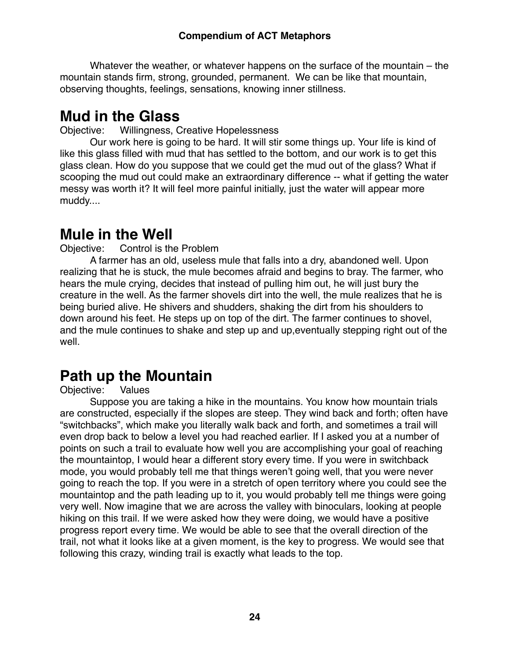Whatever the weather, or whatever happens on the surface of the mountain – the mountain stands firm, strong, grounded, permanent. We can be like that mountain, observing thoughts, feelings, sensations, knowing inner stillness.

### <span id="page-23-0"></span>**Mud in the Glass**

Objective: Willingness, Creative Hopelessness

Our work here is going to be hard. It will stir some things up. Your life is kind of like this glass filled with mud that has settled to the bottom, and our work is to get this glass clean. How do you suppose that we could get the mud out of the glass? What if scooping the mud out could make an extraordinary difference -- what if getting the water messy was worth it? It will feel more painful initially, just the water will appear more muddy....

### <span id="page-23-1"></span>**Mule in the Well**

#### Objective: Control is the Problem

A farmer has an old, useless mule that falls into a dry, abandoned well. Upon realizing that he is stuck, the mule becomes afraid and begins to bray. The farmer, who hears the mule crying, decides that instead of pulling him out, he will just bury the creature in the well. As the farmer shovels dirt into the well, the mule realizes that he is being buried alive. He shivers and shudders, shaking the dirt from his shoulders to down around his feet. He steps up on top of the dirt. The farmer continues to shovel, and the mule continues to shake and step up and up,eventually stepping right out of the well.

### <span id="page-23-2"></span>**Path up the Mountain**

#### Objective: Values

Suppose you are taking a hike in the mountains. You know how mountain trials are constructed, especially if the slopes are steep. They wind back and forth; often have "switchbacks", which make you literally walk back and forth, and sometimes a trail will even drop back to below a level you had reached earlier. If I asked you at a number of points on such a trail to evaluate how well you are accomplishing your goal of reaching the mountaintop, I would hear a different story every time. If you were in switchback mode, you would probably tell me that things weren't going well, that you were never going to reach the top. If you were in a stretch of open territory where you could see the mountaintop and the path leading up to it, you would probably tell me things were going very well. Now imagine that we are across the valley with binoculars, looking at people hiking on this trail. If we were asked how they were doing, we would have a positive progress report every time. We would be able to see that the overall direction of the trail, not what it looks like at a given moment, is the key to progress. We would see that following this crazy, winding trail is exactly what leads to the top.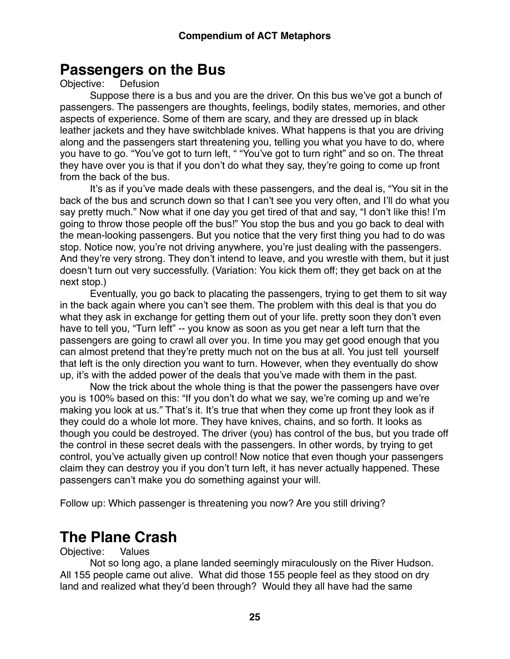### <span id="page-24-0"></span>**Passengers on the Bus**

#### Objective: Defusion

Suppose there is a bus and you are the driver. On this bus we've got a bunch of passengers. The passengers are thoughts, feelings, bodily states, memories, and other aspects of experience. Some of them are scary, and they are dressed up in black leather jackets and they have switchblade knives. What happens is that you are driving along and the passengers start threatening you, telling you what you have to do, where you have to go. "You've got to turn left, " "You've got to turn right" and so on. The threat they have over you is that if you don't do what they say, they're going to come up front from the back of the bus.

It's as if you've made deals with these passengers, and the deal is, "You sit in the back of the bus and scrunch down so that I can't see you very often, and I'll do what you say pretty much." Now what if one day you get tired of that and say, "I don't like this! I'm going to throw those people off the bus!" You stop the bus and you go back to deal with the mean-looking passengers. But you notice that the very first thing you had to do was stop. Notice now, you're not driving anywhere, you're just dealing with the passengers. And they're very strong. They don't intend to leave, and you wrestle with them, but it just doesn't turn out very successfully. (Variation: You kick them off; they get back on at the next stop.)

Eventually, you go back to placating the passengers, trying to get them to sit way in the back again where you can't see them. The problem with this deal is that you do what they ask in exchange for getting them out of your life. pretty soon they don't even have to tell you, "Turn left" -- you know as soon as you get near a left turn that the passengers are going to crawl all over you. In time you may get good enough that you can almost pretend that they're pretty much not on the bus at all. You just tell yourself that left is the only direction you want to turn. However, when they eventually do show up, it's with the added power of the deals that you've made with them in the past.

Now the trick about the whole thing is that the power the passengers have over you is 100% based on this: "If you don't do what we say, we're coming up and we're making you look at us." That's it. It's true that when they come up front they look as if they could do a whole lot more. They have knives, chains, and so forth. It looks as though you could be destroyed. The driver (you) has control of the bus, but you trade off the control in these secret deals with the passengers. In other words, by trying to get control, you've actually given up control! Now notice that even though your passengers claim they can destroy you if you don't turn left, it has never actually happened. These passengers can't make you do something against your will.

Follow up: Which passenger is threatening you now? Are you still driving?

### <span id="page-24-1"></span>**The Plane Crash**

Objective: Values

Not so long ago, a plane landed seemingly miraculously on the River Hudson. All 155 people came out alive. What did those 155 people feel as they stood on dry land and realized what they'd been through? Would they all have had the same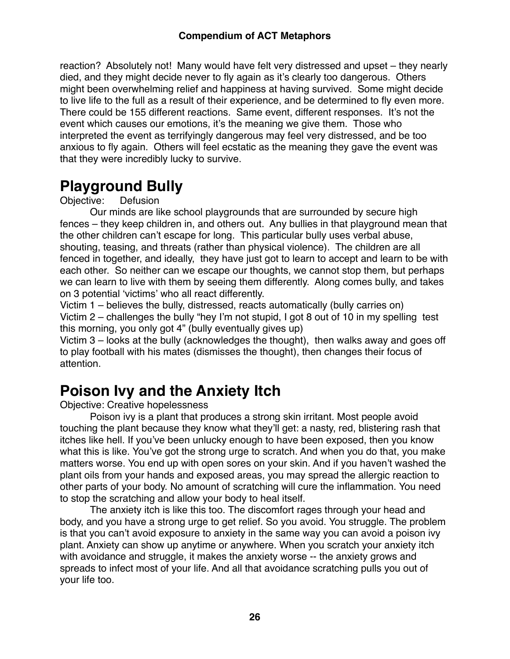reaction? Absolutely not! Many would have felt very distressed and upset – they nearly died, and they might decide never to fly again as it's clearly too dangerous. Others might been overwhelming relief and happiness at having survived. Some might decide to live life to the full as a result of their experience, and be determined to fly even more. There could be 155 different reactions. Same event, different responses. It's not the event which causes our emotions, it's the meaning we give them. Those who interpreted the event as terrifyingly dangerous may feel very distressed, and be too anxious to fly again. Others will feel ecstatic as the meaning they gave the event was that they were incredibly lucky to survive.

### <span id="page-25-0"></span>**Playground Bully**

#### Objective: Defusion

Our minds are like school playgrounds that are surrounded by secure high fences – they keep children in, and others out. Any bullies in that playground mean that the other children can't escape for long. This particular bully uses verbal abuse, shouting, teasing, and threats (rather than physical violence). The children are all fenced in together, and ideally, they have just got to learn to accept and learn to be with each other. So neither can we escape our thoughts, we cannot stop them, but perhaps we can learn to live with them by seeing them differently. Along comes bully, and takes on 3 potential ʻvictims' who all react differently.

Victim 1 – believes the bully, distressed, reacts automatically (bully carries on) Victim 2 – challenges the bully "hey I'm not stupid, I got 8 out of 10 in my spelling test this morning, you only got 4" (bully eventually gives up)

Victim 3 – looks at the bully (acknowledges the thought), then walks away and goes off to play football with his mates (dismisses the thought), then changes their focus of attention.

### <span id="page-25-1"></span>**Poison Ivy and the Anxiety Itch**

Objective: Creative hopelessness

Poison ivy is a plant that produces a strong skin irritant. Most people avoid touching the plant because they know what they'll get: a nasty, red, blistering rash that itches like hell. If you've been unlucky enough to have been exposed, then you know what this is like. You've got the strong urge to scratch. And when you do that, you make matters worse. You end up with open sores on your skin. And if you haven't washed the plant oils from your hands and exposed areas, you may spread the allergic reaction to other parts of your body. No amount of scratching will cure the inflammation. You need to stop the scratching and allow your body to heal itself.

The anxiety itch is like this too. The discomfort rages through your head and body, and you have a strong urge to get relief. So you avoid. You struggle. The problem is that you can't avoid exposure to anxiety in the same way you can avoid a poison ivy plant. Anxiety can show up anytime or anywhere. When you scratch your anxiety itch with avoidance and struggle, it makes the anxiety worse -- the anxiety grows and spreads to infect most of your life. And all that avoidance scratching pulls you out of your life too.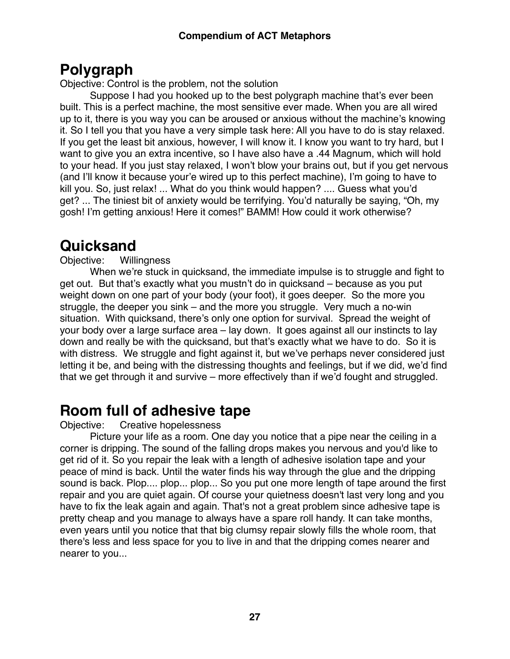### <span id="page-26-0"></span>**Polygraph**

Objective: Control is the problem, not the solution

Suppose I had you hooked up to the best polygraph machine that's ever been built. This is a perfect machine, the most sensitive ever made. When you are all wired up to it, there is you way you can be aroused or anxious without the machine's knowing it. So I tell you that you have a very simple task here: All you have to do is stay relaxed. If you get the least bit anxious, however, I will know it. I know you want to try hard, but I want to give you an extra incentive, so I have also have a .44 Magnum, which will hold to your head. If you just stay relaxed, I won't blow your brains out, but if you get nervous (and I'll know it because your'e wired up to this perfect machine), I'm going to have to kill you. So, just relax! ... What do you think would happen? .... Guess what you'd get? ... The tiniest bit of anxiety would be terrifying. You'd naturally be saying, "Oh, my gosh! I'm getting anxious! Here it comes!" BAMM! How could it work otherwise?

### <span id="page-26-1"></span>**Quicksand**

Objective: Willingness

When we're stuck in quicksand, the immediate impulse is to struggle and fight to get out. But that's exactly what you mustn't do in quicksand – because as you put weight down on one part of your body (your foot), it goes deeper. So the more you struggle, the deeper you sink – and the more you struggle. Very much a no-win situation. With quicksand, there's only one option for survival. Spread the weight of your body over a large surface area – lay down. It goes against all our instincts to lay down and really be with the quicksand, but that's exactly what we have to do. So it is with distress. We struggle and fight against it, but we've perhaps never considered just letting it be, and being with the distressing thoughts and feelings, but if we did, we'd find that we get through it and survive – more effectively than if we'd fought and struggled.

### <span id="page-26-2"></span>**Room full of adhesive tape**

#### Objective: Creative hopelessness

Picture your life as a room. One day you notice that a pipe near the ceiling in a corner is dripping. The sound of the falling drops makes you nervous and you'd like to get rid of it. So you repair the leak with a length of adhesive isolation tape and your peace of mind is back. Until the water finds his way through the glue and the dripping sound is back. Plop.... plop... plop... So you put one more length of tape around the first repair and you are quiet again. Of course your quietness doesn't last very long and you have to fix the leak again and again. That's not a great problem since adhesive tape is pretty cheap and you manage to always have a spare roll handy. It can take months, even years until you notice that that big clumsy repair slowly fills the whole room, that there's less and less space for you to live in and that the dripping comes nearer and nearer to you...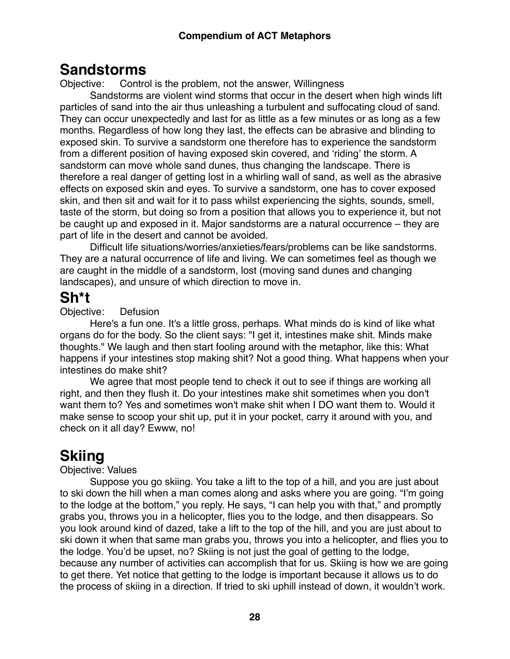### <span id="page-27-0"></span>**Sandstorms**

Objective: Control is the problem, not the answer, Willingness

Sandstorms are violent wind storms that occur in the desert when high winds lift particles of sand into the air thus unleashing a turbulent and suffocating cloud of sand. They can occur unexpectedly and last for as little as a few minutes or as long as a few months. Regardless of how long they last, the effects can be abrasive and blinding to exposed skin. To survive a sandstorm one therefore has to experience the sandstorm from a different position of having exposed skin covered, and ʻriding' the storm. A sandstorm can move whole sand dunes, thus changing the landscape. There is therefore a real danger of getting lost in a whirling wall of sand, as well as the abrasive effects on exposed skin and eyes. To survive a sandstorm, one has to cover exposed skin, and then sit and wait for it to pass whilst experiencing the sights, sounds, smell, taste of the storm, but doing so from a position that allows you to experience it, but not be caught up and exposed in it. Major sandstorms are a natural occurrence – they are part of life in the desert and cannot be avoided.

Difficult life situations/worries/anxieties/fears/problems can be like sandstorms. They are a natural occurrence of life and living. We can sometimes feel as though we are caught in the middle of a sandstorm, lost (moving sand dunes and changing landscapes), and unsure of which direction to move in.

### <span id="page-27-1"></span>**Sh\*t**

Objective: Defusion

Here's a fun one. It's a little gross, perhaps. What minds do is kind of like what organs do for the body. So the client says: "I get it, intestines make shit. Minds make thoughts." We laugh and then start fooling around with the metaphor, like this: What happens if your intestines stop making shit? Not a good thing. What happens when your intestines do make shit?

We agree that most people tend to check it out to see if things are working all right, and then they flush it. Do your intestines make shit sometimes when you don't want them to? Yes and sometimes won't make shit when I DO want them to. Would it make sense to scoop your shit up, put it in your pocket, carry it around with you, and check on it all day? Ewww, no!

# <span id="page-27-2"></span>**Skiing**

#### Objective: Values

Suppose you go skiing. You take a lift to the top of a hill, and you are just about to ski down the hill when a man comes along and asks where you are going. "I'm going to the lodge at the bottom," you reply. He says, "I can help you with that," and promptly grabs you, throws you in a helicopter, flies you to the lodge, and then disappears. So you look around kind of dazed, take a lift to the top of the hill, and you are just about to ski down it when that same man grabs you, throws you into a helicopter, and flies you to the lodge. You'd be upset, no? Skiing is not just the goal of getting to the lodge, because any number of activities can accomplish that for us. Skiing is how we are going to get there. Yet notice that getting to the lodge is important because it allows us to do the process of skiing in a direction. If tried to ski uphill instead of down, it wouldn't work.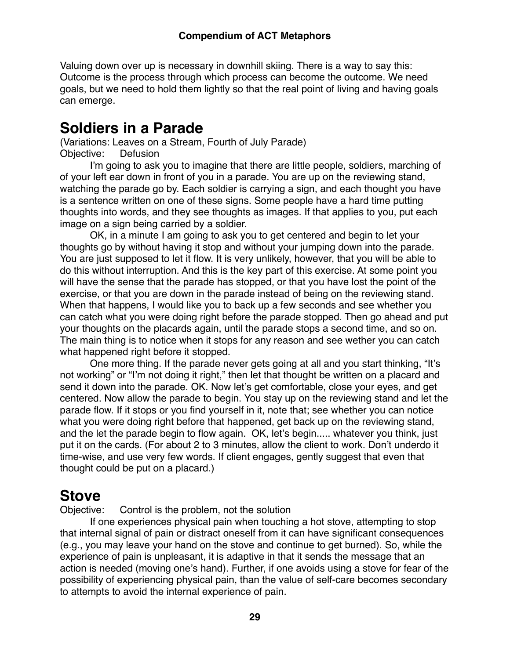Valuing down over up is necessary in downhill skiing. There is a way to say this: Outcome is the process through which process can become the outcome. We need goals, but we need to hold them lightly so that the real point of living and having goals can emerge.

### <span id="page-28-0"></span>**Soldiers in a Parade**

(Variations: Leaves on a Stream, Fourth of July Parade) Objective: Defusion

I'm going to ask you to imagine that there are little people, soldiers, marching of of your left ear down in front of you in a parade. You are up on the reviewing stand, watching the parade go by. Each soldier is carrying a sign, and each thought you have is a sentence written on one of these signs. Some people have a hard time putting thoughts into words, and they see thoughts as images. If that applies to you, put each image on a sign being carried by a soldier.

OK, in a minute I am going to ask you to get centered and begin to let your thoughts go by without having it stop and without your jumping down into the parade. You are just supposed to let it flow. It is very unlikely, however, that you will be able to do this without interruption. And this is the key part of this exercise. At some point you will have the sense that the parade has stopped, or that you have lost the point of the exercise, or that you are down in the parade instead of being on the reviewing stand. When that happens, I would like you to back up a few seconds and see whether you can catch what you were doing right before the parade stopped. Then go ahead and put your thoughts on the placards again, until the parade stops a second time, and so on. The main thing is to notice when it stops for any reason and see wether you can catch what happened right before it stopped.

One more thing. If the parade never gets going at all and you start thinking, "It's not working" or "I'm not doing it right," then let that thought be written on a placard and send it down into the parade. OK. Now let's get comfortable, close your eyes, and get centered. Now allow the parade to begin. You stay up on the reviewing stand and let the parade flow. If it stops or you find yourself in it, note that; see whether you can notice what you were doing right before that happened, get back up on the reviewing stand, and the let the parade begin to flow again. OK, let's begin..... whatever you think, just put it on the cards. (For about 2 to 3 minutes, allow the client to work. Don't underdo it time-wise, and use very few words. If client engages, gently suggest that even that thought could be put on a placard.)

### <span id="page-28-1"></span>**Stove**

Objective: Control is the problem, not the solution

If one experiences physical pain when touching a hot stove, attempting to stop that internal signal of pain or distract oneself from it can have significant consequences (e.g., you may leave your hand on the stove and continue to get burned). So, while the experience of pain is unpleasant, it is adaptive in that it sends the message that an action is needed (moving one's hand). Further, if one avoids using a stove for fear of the possibility of experiencing physical pain, than the value of self-care becomes secondary to attempts to avoid the internal experience of pain.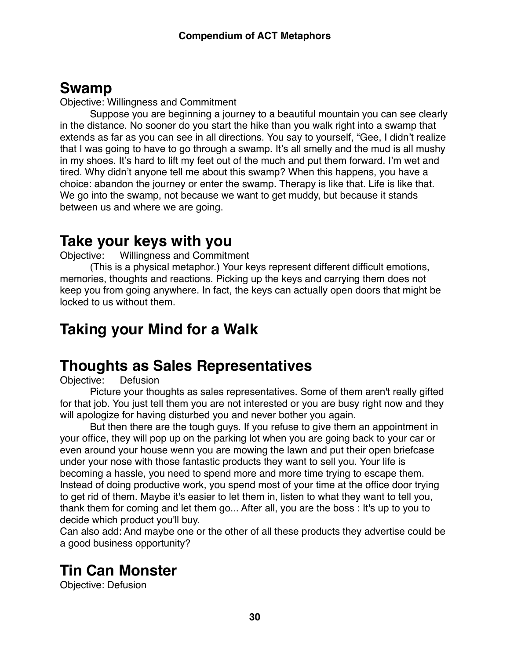### <span id="page-29-0"></span>**Swamp**

Objective: Willingness and Commitment

Suppose you are beginning a journey to a beautiful mountain you can see clearly in the distance. No sooner do you start the hike than you walk right into a swamp that extends as far as you can see in all directions. You say to yourself, "Gee, I didn't realize that I was going to have to go through a swamp. It's all smelly and the mud is all mushy in my shoes. It's hard to lift my feet out of the much and put them forward. I'm wet and tired. Why didn't anyone tell me about this swamp? When this happens, you have a choice: abandon the journey or enter the swamp. Therapy is like that. Life is like that. We go into the swamp, not because we want to get muddy, but because it stands between us and where we are going.

### <span id="page-29-1"></span>**Take your keys with you**

Objective: Willingness and Commitment

(This is a physical metaphor.) Your keys represent different difficult emotions, memories, thoughts and reactions. Picking up the keys and carrying them does not keep you from going anywhere. In fact, the keys can actually open doors that might be locked to us without them.

### <span id="page-29-2"></span>**Taking your Mind for a Walk**

### <span id="page-29-3"></span>**Thoughts as Sales Representatives**

Objective: Defusion

Picture your thoughts as sales representatives. Some of them aren't really gifted for that job. You just tell them you are not interested or you are busy right now and they will apologize for having disturbed you and never bother you again.

But then there are the tough guys. If you refuse to give them an appointment in your office, they will pop up on the parking lot when you are going back to your car or even around your house wenn you are mowing the lawn and put their open briefcase under your nose with those fantastic products they want to sell you. Your life is becoming a hassle, you need to spend more and more time trying to escape them. Instead of doing productive work, you spend most of your time at the office door trying to get rid of them. Maybe it's easier to let them in, listen to what they want to tell you, thank them for coming and let them go... After all, you are the boss : It's up to you to decide which product you'll buy.

Can also add: And maybe one or the other of all these products they advertise could be a good business opportunity?

### <span id="page-29-4"></span>**Tin Can Monster**

Objective: Defusion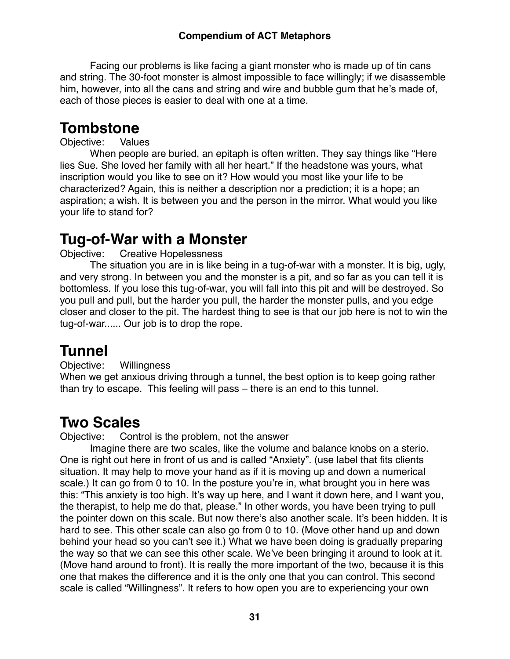Facing our problems is like facing a giant monster who is made up of tin cans and string. The 30-foot monster is almost impossible to face willingly; if we disassemble him, however, into all the cans and string and wire and bubble gum that he's made of, each of those pieces is easier to deal with one at a time.

### <span id="page-30-0"></span>**Tombstone**

#### Objective: Values

When people are buried, an epitaph is often written. They say things like "Here lies Sue. She loved her family with all her heart." If the headstone was yours, what inscription would you like to see on it? How would you most like your life to be characterized? Again, this is neither a description nor a prediction; it is a hope; an aspiration; a wish. It is between you and the person in the mirror. What would you like your life to stand for?

# <span id="page-30-1"></span>**Tug-of-War with a Monster**

#### **Creative Hopelessness**

The situation you are in is like being in a tug-of-war with a monster. It is big, ugly, and very strong. In between you and the monster is a pit, and so far as you can tell it is bottomless. If you lose this tug-of-war, you will fall into this pit and will be destroyed. So you pull and pull, but the harder you pull, the harder the monster pulls, and you edge closer and closer to the pit. The hardest thing to see is that our job here is not to win the tug-of-war...... Our job is to drop the rope.

### <span id="page-30-2"></span>**Tunnel**

Objective: Willingness

When we get anxious driving through a tunnel, the best option is to keep going rather than try to escape. This feeling will pass – there is an end to this tunnel.

### <span id="page-30-3"></span>**Two Scales**

Objective: Control is the problem, not the answer

Imagine there are two scales, like the volume and balance knobs on a sterio. One is right out here in front of us and is called "Anxiety". (use label that fits clients situation. It may help to move your hand as if it is moving up and down a numerical scale.) It can go from 0 to 10. In the posture you're in, what brought you in here was this: "This anxiety is too high. It's way up here, and I want it down here, and I want you, the therapist, to help me do that, please." In other words, you have been trying to pull the pointer down on this scale. But now there's also another scale. It's been hidden. It is hard to see. This other scale can also go from 0 to 10. (Move other hand up and down behind your head so you can't see it.) What we have been doing is gradually preparing the way so that we can see this other scale. We've been bringing it around to look at it. (Move hand around to front). It is really the more important of the two, because it is this one that makes the difference and it is the only one that you can control. This second scale is called "Willingness". It refers to how open you are to experiencing your own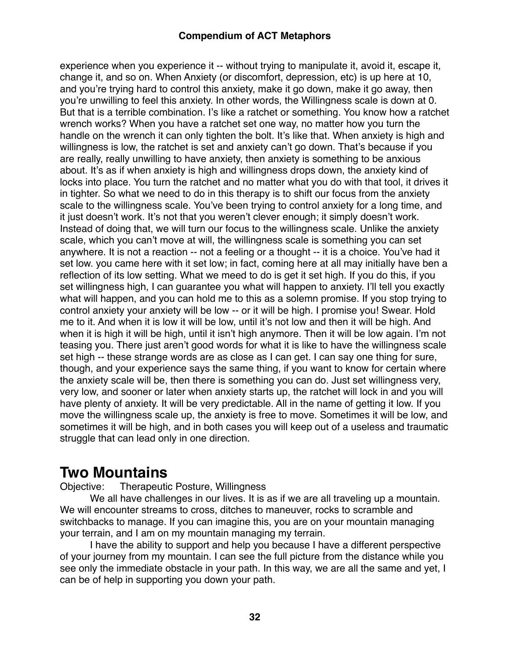experience when you experience it -- without trying to manipulate it, avoid it, escape it, change it, and so on. When Anxiety (or discomfort, depression, etc) is up here at 10, and you're trying hard to control this anxiety, make it go down, make it go away, then you're unwilling to feel this anxiety. In other words, the Willingness scale is down at 0. But that is a terrible combination. I's like a ratchet or something. You know how a ratchet wrench works? When you have a ratchet set one way, no matter how you turn the handle on the wrench it can only tighten the bolt. It's like that. When anxiety is high and willingness is low, the ratchet is set and anxiety can't go down. That's because if you are really, really unwilling to have anxiety, then anxiety is something to be anxious about. It's as if when anxiety is high and willingness drops down, the anxiety kind of locks into place. You turn the ratchet and no matter what you do with that tool, it drives it in tighter. So what we need to do in this therapy is to shift our focus from the anxiety scale to the willingness scale. You've been trying to control anxiety for a long time, and it just doesn't work. It's not that you weren't clever enough; it simply doesn't work. Instead of doing that, we will turn our focus to the willingness scale. Unlike the anxiety scale, which you can't move at will, the willingness scale is something you can set anywhere. It is not a reaction -- not a feeling or a thought -- it is a choice. You've had it set low. you came here with it set low; in fact, coming here at all may initially have ben a reflection of its low setting. What we meed to do is get it set high. If you do this, if you set willingness high, I can guarantee you what will happen to anxiety. I'll tell you exactly what will happen, and you can hold me to this as a solemn promise. If you stop trying to control anxiety your anxiety will be low -- or it will be high. I promise you! Swear. Hold me to it. And when it is low it will be low, until it's not low and then it will be high. And when it is high it will be high, until it isn't high anymore. Then it will be low again. I'm not teasing you. There just aren't good words for what it is like to have the willingness scale set high -- these strange words are as close as I can get. I can say one thing for sure, though, and your experience says the same thing, if you want to know for certain where the anxiety scale will be, then there is something you can do. Just set willingness very, very low, and sooner or later when anxiety starts up, the ratchet will lock in and you will have plenty of anxiety. It will be very predictable. All in the name of getting it low. If you move the willingness scale up, the anxiety is free to move. Sometimes it will be low, and sometimes it will be high, and in both cases you will keep out of a useless and traumatic struggle that can lead only in one direction.

### <span id="page-31-0"></span>**Two Mountains**

Objective: Therapeutic Posture, Willingness

We all have challenges in our lives. It is as if we are all traveling up a mountain. We will encounter streams to cross, ditches to maneuver, rocks to scramble and switchbacks to manage. If you can imagine this, you are on your mountain managing your terrain, and I am on my mountain managing my terrain.

I have the ability to support and help you because I have a different perspective of your journey from my mountain. I can see the full picture from the distance while you see only the immediate obstacle in your path. In this way, we are all the same and yet, I can be of help in supporting you down your path.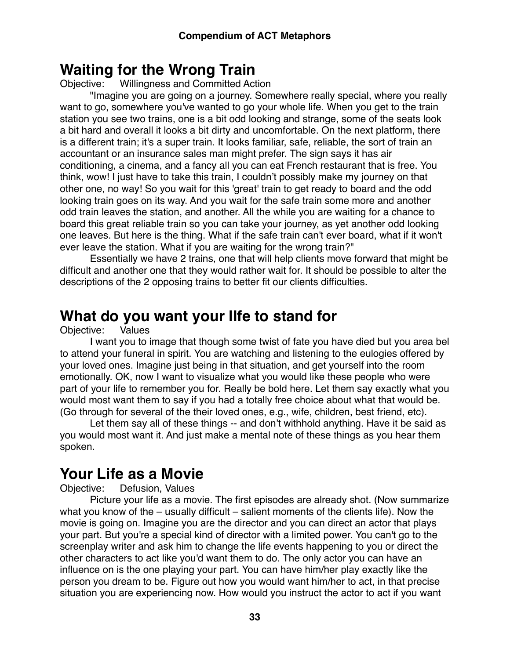### <span id="page-32-0"></span>**Waiting for the Wrong Train**

Objective: Willingness and Committed Action

"Imagine you are going on a journey. Somewhere really special, where you really want to go, somewhere you've wanted to go your whole life. When you get to the train station you see two trains, one is a bit odd looking and strange, some of the seats look a bit hard and overall it looks a bit dirty and uncomfortable. On the next platform, there is a different train; it's a super train. It looks familiar, safe, reliable, the sort of train an accountant or an insurance sales man might prefer. The sign says it has air conditioning, a cinema, and a fancy all you can eat French restaurant that is free. You think, wow! I just have to take this train, I couldn't possibly make my journey on that other one, no way! So you wait for this 'great' train to get ready to board and the odd looking train goes on its way. And you wait for the safe train some more and another odd train leaves the station, and another. All the while you are waiting for a chance to board this great reliable train so you can take your journey, as yet another odd looking one leaves. But here is the thing. What if the safe train can't ever board, what if it won't ever leave the station. What if you are waiting for the wrong train?"

Essentially we have 2 trains, one that will help clients move forward that might be difficult and another one that they would rather wait for. It should be possible to alter the descriptions of the 2 opposing trains to better fit our clients difficulties.

### <span id="page-32-1"></span>**What do you want your lIfe to stand for**

Objective: Values

I want you to image that though some twist of fate you have died but you area bel to attend your funeral in spirit. You are watching and listening to the eulogies offered by your loved ones. Imagine just being in that situation, and get yourself into the room emotionally. OK, now I want to visualize what you would like these people who were part of your life to remember you for. Really be bold here. Let them say exactly what you would most want them to say if you had a totally free choice about what that would be. (Go through for several of the their loved ones, e.g., wife, children, best friend, etc).

Let them say all of these things -- and don't withhold anything. Have it be said as you would most want it. And just make a mental note of these things as you hear them spoken.

### <span id="page-32-2"></span>**Your Life as a Movie**

Objective: Defusion, Values

Picture your life as a movie. The first episodes are already shot. (Now summarize what you know of the – usually difficult – salient moments of the clients life). Now the movie is going on. Imagine you are the director and you can direct an actor that plays your part. But you're a special kind of director with a limited power. You can't go to the screenplay writer and ask him to change the life events happening to you or direct the other characters to act like you'd want them to do. The only actor you can have an influence on is the one playing your part. You can have him/her play exactly like the person you dream to be. Figure out how you would want him/her to act, in that precise situation you are experiencing now. How would you instruct the actor to act if you want